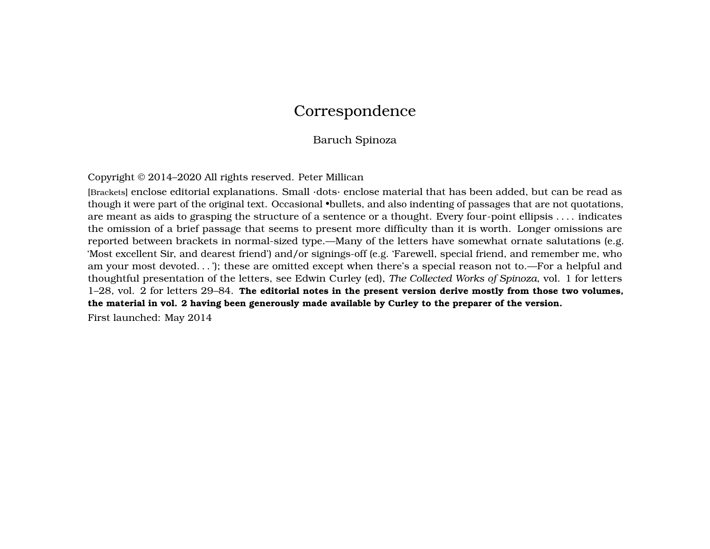# Correspondence

# Baruch Spinoza

Copyright © 2014–2020 All rights reserved. Peter Millican

[Brackets] enclose editorial explanations. Small ·dots· enclose material that has been added, but can be read as though it were part of the original text. Occasional •bullets, and also indenting of passages that are not quotations, are meant as aids to grasping the structure of a sentence or a thought. Every four-point ellipsis . . . . indicates the omission of a brief passage that seems to present more difficulty than it is worth. Longer omissions are reported between brackets in normal-sized type.—Many of the letters have somewhat ornate salutations (e.g. 'Most excellent Sir, and dearest friend') and/or signings-off (e.g. 'Farewell, special friend, and remember me, who am your most devoted. . . '); these are omitted except when there's a special reason not to.—For a helpful and thoughtful presentation of the letters, see Edwin Curley (ed), *The Collected Works of Spinoza*, vol. 1 for letters 1–28, vol. 2 for letters 29–84. **The editorial notes in the present version derive mostly from those two volumes, the material in vol. 2 having been generously made available by Curley to the preparer of the version.**

First launched: May 2014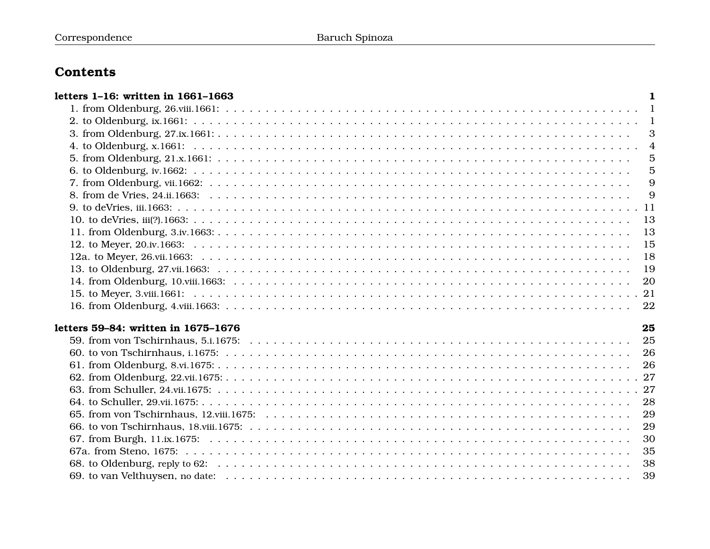# **Contents**

| letters 1-16: written in 1661-1663  | 1              |
|-------------------------------------|----------------|
|                                     |                |
|                                     |                |
|                                     | 3              |
|                                     |                |
|                                     | $\overline{5}$ |
|                                     | $\overline{5}$ |
|                                     | 9              |
|                                     | 9              |
|                                     |                |
|                                     | 13             |
|                                     | 13             |
|                                     | 15             |
|                                     | 18             |
|                                     | 19             |
|                                     | 20             |
|                                     |                |
|                                     | 22             |
|                                     |                |
| letters 59-84: written in 1675-1676 | 25             |
|                                     | 25             |
|                                     | 26             |
|                                     | 26             |
|                                     |                |
|                                     |                |
|                                     | 28             |
|                                     | 29             |
|                                     | 29             |
|                                     | 30             |
|                                     | 35             |
|                                     | 38             |
|                                     | 39             |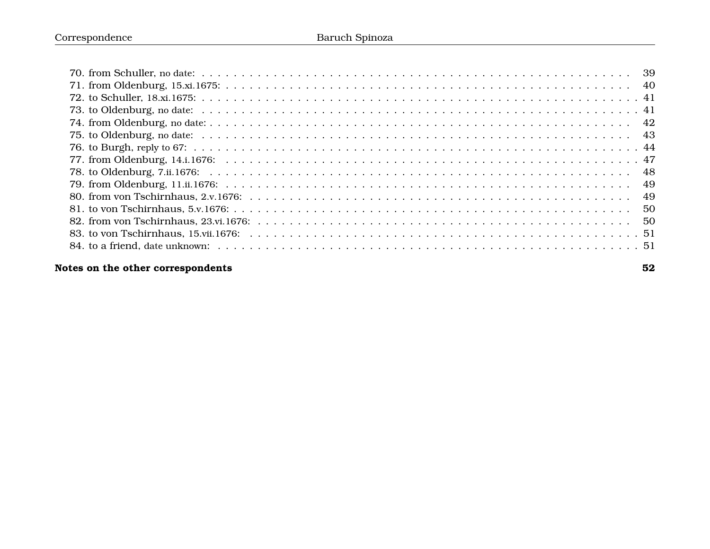# **[Notes on the other correspondents](#page-33-0) 52**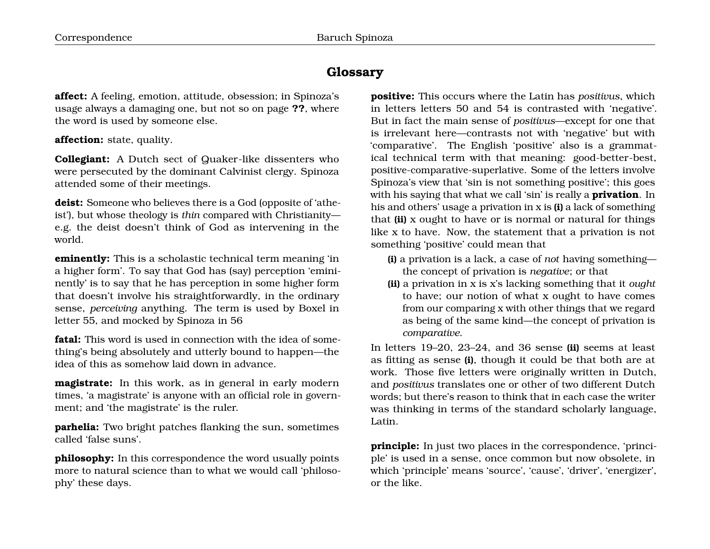# **Glossary**

**affect:** A feeling, emotion, attitude, obsession; in Spinoza's usage always a damaging one, but not so on page **??**, where the word is used by someone else.

### **affection:** state, quality.

**Collegiant:** A Dutch sect of Quaker-like dissenters who were persecuted by the dominant Calvinist clergy. Spinoza attended some of their meetings.

**deist:** Someone who believes there is a God (opposite of 'atheist'), but whose theology is *thin* compared with Christianity e.g. the deist doesn't think of God as intervening in the world.

**eminently:** This is a scholastic technical term meaning 'in a higher form'. To say that God has (say) perception 'emininently' is to say that he has perception in some higher form that doesn't involve his straightforwardly, in the ordinary sense, *perceiving* anything. The term is used by Boxel in letter 55, and mocked by Spinoza in 56

**fatal:** This word is used in connection with the idea of something's being absolutely and utterly bound to happen—the idea of this as somehow laid down in advance.

**magistrate:** In this work, as in general in early modern times, 'a magistrate' is anyone with an official role in government; and 'the magistrate' is the ruler.

**parhelia:** Two bright patches flanking the sun, sometimes called 'false suns'.

**philosophy:** In this correspondence the word usually points more to natural science than to what we would call 'philosophy' these days.

**positive:** This occurs where the Latin has *positivus*, which in letters letters 50 and 54 is contrasted with 'negative'. But in fact the main sense of *positivus*—except for one that is irrelevant here—contrasts not with 'negative' but with 'comparative'. The English 'positive' also is a grammatical technical term with that meaning: good-better-best, positive-comparative-superlative. Some of the letters involve Spinoza's view that 'sin is not something positive'; this goes with his saying that what we call 'sin' is really a **privation**. In his and others' usage a privation in x is **(i)** a lack of something that **(ii)** x ought to have or is normal or natural for things like x to have. Now, the statement that a privation is not something 'positive' could mean that

- **(i)** a privation is a lack, a case of *not* having something the concept of privation is *negative*; or that
- **(ii)** a privation in x is x's lacking something that it *ought* to have; our notion of what x ought to have comes from our comparing x with other things that we regard as being of the same kind—the concept of privation is *comparative*.

In letters 19–20, 23–24, and 36 sense **(ii)** seems at least as fitting as sense **(i)**, though it could be that both are at work. Those five letters were originally written in Dutch, and *positivus* translates one or other of two different Dutch words; but there's reason to think that in each case the writer was thinking in terms of the standard scholarly language, Latin.

**principle:** In just two places in the correspondence, 'principle' is used in a sense, once common but now obsolete, in which 'principle' means 'source', 'cause', 'driver', 'energizer', or the like.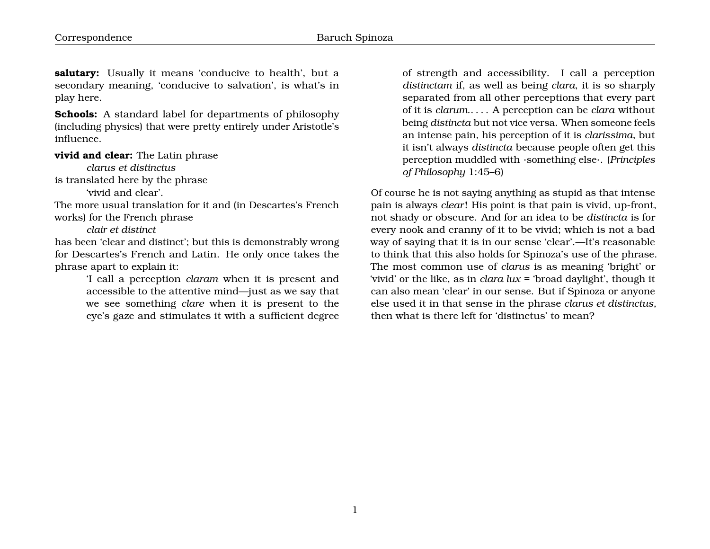**salutary:** Usually it means 'conducive to health', but a secondary meaning, 'conducive to salvation', is what's in play here.

**Schools:** A standard label for departments of philosophy (including physics) that were pretty entirely under Aristotle's influence.

#### **vivid and clear:** The Latin phrase

*clarus et distinctus* is translated here by the phrase

'vivid and clear'.

The more usual translation for it and (in Descartes's French works) for the French phrase

### *clair et distinct*

has been 'clear and distinct'; but this is demonstrably wrong for Descartes's French and Latin. He only once takes the phrase apart to explain it:

> 'I call a perception *claram* when it is present and accessible to the attentive mind—just as we say that we see something *clare* when it is present to the eye's gaze and stimulates it with a sufficient degree

of strength and accessibility. I call a perception *distinctam* if, as well as being *clara*, it is so sharply separated from all other perceptions that every part of it is *clarum*.. . . . A perception can be *clara* without being *distincta* but not vice versa. When someone feels an intense pain, his perception of it is *clarissima*, but it isn't always *distincta* because people often get this perception muddled with ·something else·. (*Principles of Philosophy* 1:45–6)

Of course he is not saying anything as stupid as that intense pain is always *clear*! His point is that pain is vivid, up-front, not shady or obscure. And for an idea to be *distincta* is for every nook and cranny of it to be vivid; which is not a bad way of saying that it is in our sense 'clear'.—It's reasonable to think that this also holds for Spinoza's use of the phrase. The most common use of *clarus* is as meaning 'bright' or 'vivid' or the like, as in *clara lux* = 'broad daylight', though it can also mean 'clear' in our sense. But if Spinoza or anyone else used it in that sense in the phrase *clarus et distinctus*, then what is there left for 'distinctus' to mean?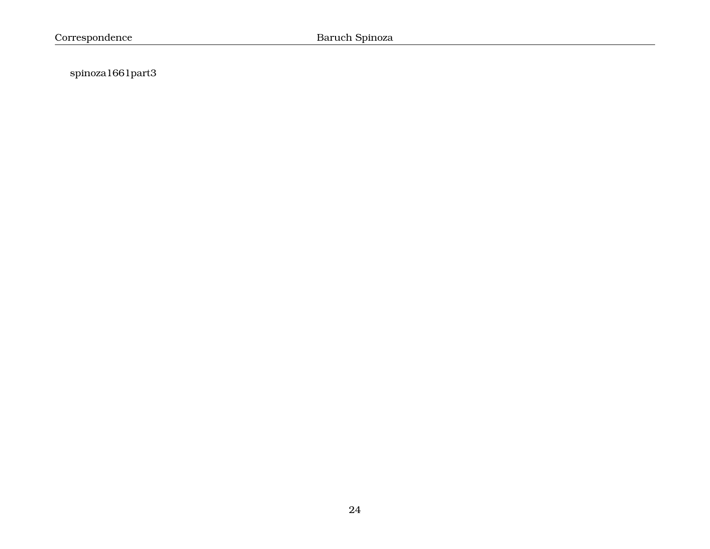spinoza1661part3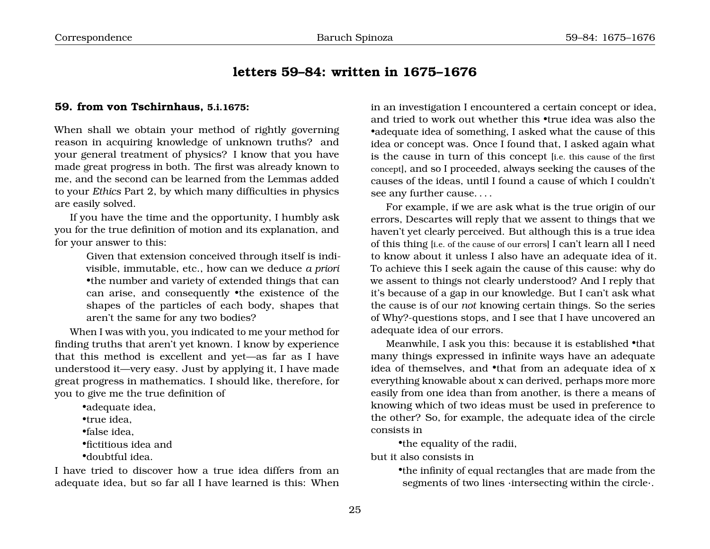# <span id="page-6-0"></span>**letters 59–84: written in 1675–1676**

#### <span id="page-6-1"></span>**59. from von Tschirnhaus, 5.i.1675:**

When shall we obtain your method of rightly governing reason in acquiring knowledge of unknown truths? and your general treatment of physics? I know that you have made great progress in both. The first was already known to me, and the second can be learned from the Lemmas added to your *Ethics* Part 2, by which many difficulties in physics are easily solved.

If you have the time and the opportunity, I humbly ask you for the true definition of motion and its explanation, and for your answer to this:

> Given that extension conceived through itself is indivisible, immutable, etc., how can we deduce *a priori* •the number and variety of extended things that can can arise, and consequently •the existence of the shapes of the particles of each body, shapes that aren't the same for any two bodies?

When I was with you, you indicated to me your method for finding truths that aren't yet known. I know by experience that this method is excellent and yet—as far as I have understood it—very easy. Just by applying it, I have made great progress in mathematics. I should like, therefore, for you to give me the true definition of

•adequate idea, •true idea, •false idea, •fictitious idea and •doubtful idea.

I have tried to discover how a true idea differs from an adequate idea, but so far all I have learned is this: When in an investigation I encountered a certain concept or idea, and tried to work out whether this •true idea was also the •adequate idea of something, I asked what the cause of this idea or concept was. Once I found that, I asked again what is the cause in turn of this concept [i.e. this cause of the first concept], and so I proceeded, always seeking the causes of the causes of the ideas, until I found a cause of which I couldn't see any further cause. . . .

For example, if we are ask what is the true origin of our errors, Descartes will reply that we assent to things that we haven't yet clearly perceived. But although this is a true idea of this thing [i.e. of the cause of our errors] I can't learn all I need to know about it unless I also have an adequate idea of it. To achieve this I seek again the cause of this cause: why do we assent to things not clearly understood? And I reply that it's because of a gap in our knowledge. But I can't ask what the cause is of our *not* knowing certain things. So the series of Why?-questions stops, and I see that I have uncovered an adequate idea of our errors.

Meanwhile, I ask you this: because it is established •that many things expressed in infinite ways have an adequate idea of themselves, and •that from an adequate idea of x everything knowable about x can derived, perhaps more more easily from one idea than from another, is there a means of knowing which of two ideas must be used in preference to the other? So, for example, the adequate idea of the circle consists in

•the equality of the radii,

but it also consists in

•the infinity of equal rectangles that are made from the segments of two lines ·intersecting within the circle·.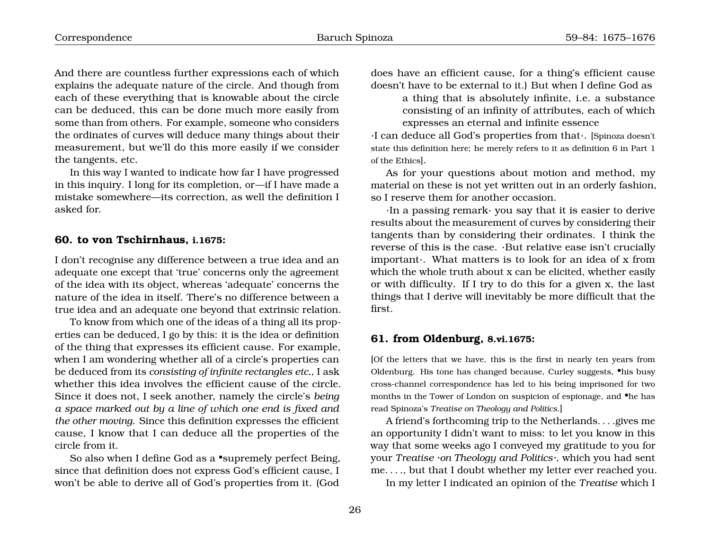And there are countless further expressions each of which explains the adequate nature of the circle. And though from each of these everything that is knowable about the circle can be deduced, this can be done much more easily from some than from others. For example, someone who considers the ordinates of curves will deduce many things about their measurement, but we'll do this more easily if we consider the tangents, etc.

In this way I wanted to indicate how far I have progressed in this inquiry. I long for its completion, or—if I have made a mistake somewhere—its correction, as well the definition I asked for.

#### <span id="page-7-0"></span>**60. to von Tschirnhaus, i.1675:**

I don't recognise any difference between a true idea and an adequate one except that 'true' concerns only the agreement of the idea with its object, whereas 'adequate' concerns the nature of the idea in itself. There's no difference between a true idea and an adequate one beyond that extrinsic relation.

To know from which one of the ideas of a thing all its properties can be deduced, I go by this: it is the idea or definition of the thing that expresses its efficient cause. For example, when I am wondering whether all of a circle's properties can be deduced from its *consisting of infinite rectangles etc.*, I ask whether this idea involves the efficient cause of the circle. Since it does not, I seek another, namely the circle's *being a space marked out by a line of which one end is fixed and the other moving*. Since this definition expresses the efficient cause, I know that I can deduce all the properties of the circle from it.

So also when I define God as a •supremely perfect Being, since that definition does not express God's efficient cause, I won't be able to derive all of God's properties from it. (God does have an efficient cause, for a thing's efficient cause doesn't have to be external to it.) But when I define God as

a thing that is absolutely infinite, i.e. a substance consisting of an infinity of attributes, each of which expresses an eternal and infinite essence

·I can deduce all God's properties from that·. [Spinoza doesn't state this definition here; he merely refers to it as definition 6 in Part 1 of the Ethics].

As for your questions about motion and method, my material on these is not yet written out in an orderly fashion, so I reserve them for another occasion.

·In a passing remark· you say that it is easier to derive results about the measurement of curves by considering their tangents than by considering their ordinates. I think the reverse of this is the case. ·But relative ease isn't crucially important·. What matters is to look for an idea of x from which the whole truth about x can be elicited, whether easily or with difficulty. If I try to do this for a given x, the last things that I derive will inevitably be more difficult that the first.

#### <span id="page-7-1"></span>**61. from Oldenburg, 8.vi.1675:**

[Of the letters that we have, this is the first in nearly ten years from Oldenburg. His tone has changed because, Curley suggests, •his busy cross-channel correspondence has led to his being imprisoned for two months in the Tower of London on suspicion of espionage, and  $\bullet$ he has read Spinoza's *Treatise on Theology and Politics*.]

A friend's forthcoming trip to the Netherlands. . . .gives me an opportunity I didn't want to miss: to let you know in this way that some weeks ago I conveyed my gratitude to you for your *Treatise ·on Theology and Politics·*, which you had sent me. . . ., but that I doubt whether my letter ever reached you.

In my letter I indicated an opinion of the *Treatise* which I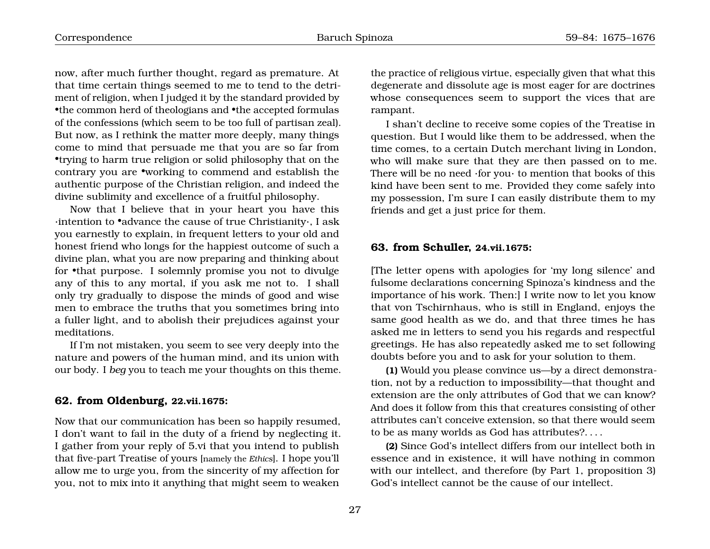now, after much further thought, regard as premature. At that time certain things seemed to me to tend to the detriment of religion, when I judged it by the standard provided by •the common herd of theologians and •the accepted formulas of the confessions (which seem to be too full of partisan zeal). But now, as I rethink the matter more deeply, many things come to mind that persuade me that you are so far from •trying to harm true religion or solid philosophy that on the contrary you are •working to commend and establish the authentic purpose of the Christian religion, and indeed the divine sublimity and excellence of a fruitful philosophy.

Now that I believe that in your heart you have this ·intention to •advance the cause of true Christianity·, I ask you earnestly to explain, in frequent letters to your old and honest friend who longs for the happiest outcome of such a divine plan, what you are now preparing and thinking about for •that purpose. I solemnly promise you not to divulge any of this to any mortal, if you ask me not to. I shall only try gradually to dispose the minds of good and wise men to embrace the truths that you sometimes bring into a fuller light, and to abolish their prejudices against your meditations.

If I'm not mistaken, you seem to see very deeply into the nature and powers of the human mind, and its union with our body. I *beg* you to teach me your thoughts on this theme.

# <span id="page-8-0"></span>**62. from Oldenburg, 22.vii.1675:**

Now that our communication has been so happily resumed, I don't want to fail in the duty of a friend by neglecting it. I gather from your reply of 5.vi that you intend to publish that five-part Treatise of yours [namely the *Ethics*]. I hope you'll allow me to urge you, from the sincerity of my affection for you, not to mix into it anything that might seem to weaken

the practice of religious virtue, especially given that what this degenerate and dissolute age is most eager for are doctrines whose consequences seem to support the vices that are rampant.

I shan't decline to receive some copies of the Treatise in question. But I would like them to be addressed, when the time comes, to a certain Dutch merchant living in London, who will make sure that they are then passed on to me. There will be no need ·for you· to mention that books of this kind have been sent to me. Provided they come safely into my possession, I'm sure I can easily distribute them to my friends and get a just price for them.

#### <span id="page-8-1"></span>**63. from Schuller, 24.vii.1675:**

[The letter opens with apologies for 'my long silence' and fulsome declarations concerning Spinoza's kindness and the importance of his work. Then:] I write now to let you know that von Tschirnhaus, who is still in England, enjoys the same good health as we do, and that three times he has asked me in letters to send you his regards and respectful greetings. He has also repeatedly asked me to set following doubts before you and to ask for your solution to them.

**(1)** Would you please convince us—by a direct demonstration, not by a reduction to impossibility—that thought and extension are the only attributes of God that we can know? And does it follow from this that creatures consisting of other attributes can't conceive extension, so that there would seem to be as many worlds as God has attributes?. . . .

**(2)** Since God's intellect differs from our intellect both in essence and in existence, it will have nothing in common with our intellect, and therefore (by Part 1, proposition 3) God's intellect cannot be the cause of our intellect.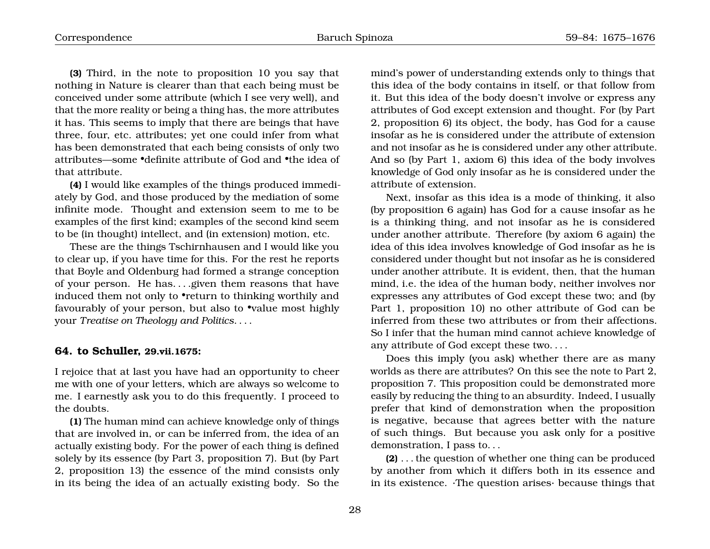**(3)** Third, in the note to proposition 10 you say that nothing in Nature is clearer than that each being must be conceived under some attribute (which I see very well), and that the more reality or being a thing has, the more attributes it has. This seems to imply that there are beings that have three, four, etc. attributes; yet one could infer from what has been demonstrated that each being consists of only two attributes—some •definite attribute of God and •the idea of that attribute.

**(4)** I would like examples of the things produced immediately by God, and those produced by the mediation of some infinite mode. Thought and extension seem to me to be examples of the first kind; examples of the second kind seem to be (in thought) intellect, and (in extension) motion, etc.

These are the things Tschirnhausen and I would like you to clear up, if you have time for this. For the rest he reports that Boyle and Oldenburg had formed a strange conception of your person. He has. . . .given them reasons that have induced them not only to •return to thinking worthily and favourably of your person, but also to •value most highly your *Treatise on Theology and Politics*. . . .

#### <span id="page-9-0"></span>**64. to Schuller, 29.vii.1675:**

I rejoice that at last you have had an opportunity to cheer me with one of your letters, which are always so welcome to me. I earnestly ask you to do this frequently. I proceed to the doubts.

**(1)** The human mind can achieve knowledge only of things that are involved in, or can be inferred from, the idea of an actually existing body. For the power of each thing is defined solely by its essence (by Part 3, proposition 7). But (by Part 2, proposition 13) the essence of the mind consists only in its being the idea of an actually existing body. So the

mind's power of understanding extends only to things that this idea of the body contains in itself, or that follow from it. But this idea of the body doesn't involve or express any attributes of God except extension and thought. For (by Part 2, proposition 6) its object, the body, has God for a cause insofar as he is considered under the attribute of extension and not insofar as he is considered under any other attribute. And so (by Part 1, axiom 6) this idea of the body involves knowledge of God only insofar as he is considered under the attribute of extension.

Next, insofar as this idea is a mode of thinking, it also (by proposition 6 again) has God for a cause insofar as he is a thinking thing, and not insofar as he is considered under another attribute. Therefore (by axiom 6 again) the idea of this idea involves knowledge of God insofar as he is considered under thought but not insofar as he is considered under another attribute. It is evident, then, that the human mind, i.e. the idea of the human body, neither involves nor expresses any attributes of God except these two; and (by Part 1, proposition 10) no other attribute of God can be inferred from these two attributes or from their affections. So I infer that the human mind cannot achieve knowledge of any attribute of God except these two. . . .

Does this imply (you ask) whether there are as many worlds as there are attributes? On this see the note to Part 2, proposition 7. This proposition could be demonstrated more easily by reducing the thing to an absurdity. Indeed, I usually prefer that kind of demonstration when the proposition is negative, because that agrees better with the nature of such things. But because you ask only for a positive demonstration, I pass to. . .

**(2)** . . . the question of whether one thing can be produced by another from which it differs both in its essence and in its existence. ·The question arises· because things that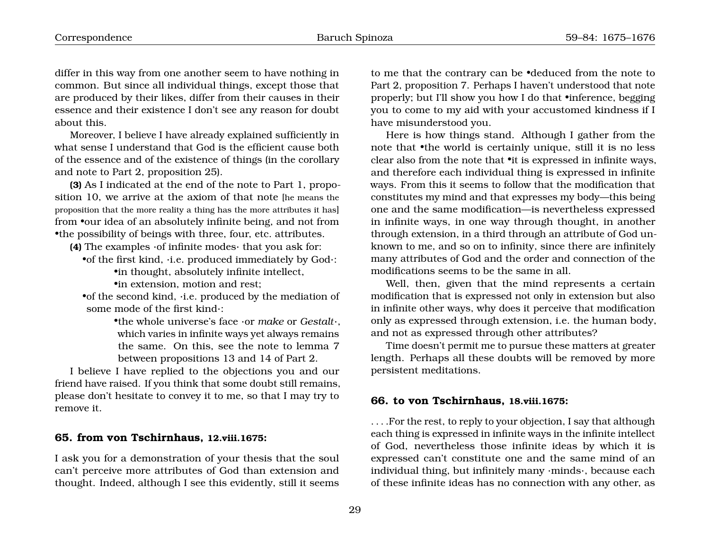differ in this way from one another seem to have nothing in common. But since all individual things, except those that are produced by their likes, differ from their causes in their essence and their existence I don't see any reason for doubt about this.

Moreover, I believe I have already explained sufficiently in what sense I understand that God is the efficient cause both of the essence and of the existence of things (in the corollary and note to Part 2, proposition 25).

**(3)** As I indicated at the end of the note to Part 1, proposition 10, we arrive at the axiom of that note [he means the proposition that the more reality a thing has the more attributes it has] from •our idea of an absolutely infinite being, and not from •the possibility of beings with three, four, etc. attributes.

- **(4)** The examples ·of infinite modes· that you ask for:
	- •of the first kind, ·i.e. produced immediately by God·:
		- •in thought, absolutely infinite intellect,
		- •in extension, motion and rest;

•of the second kind, ·i.e. produced by the mediation of some mode of the first kind·:

> •the whole universe's face ·or *make* or *Gestalt*·, which varies in infinite ways yet always remains the same. On this, see the note to lemma 7 between propositions 13 and 14 of Part 2.

I believe I have replied to the objections you and our friend have raised. If you think that some doubt still remains, please don't hesitate to convey it to me, so that I may try to remove it.

#### <span id="page-10-0"></span>**65. from von Tschirnhaus, 12.viii.1675:**

I ask you for a demonstration of your thesis that the soul can't perceive more attributes of God than extension and thought. Indeed, although I see this evidently, still it seems to me that the contrary can be •deduced from the note to Part 2, proposition 7. Perhaps I haven't understood that note properly; but I'll show you how I do that •inference, begging you to come to my aid with your accustomed kindness if I have misunderstood you.

Here is how things stand. Although I gather from the note that •the world is certainly unique, still it is no less clear also from the note that •it is expressed in infinite ways, and therefore each individual thing is expressed in infinite ways. From this it seems to follow that the modification that constitutes my mind and that expresses my body—this being one and the same modification—is nevertheless expressed in infinite ways, in one way through thought, in another through extension, in a third through an attribute of God unknown to me, and so on to infinity, since there are infinitely many attributes of God and the order and connection of the modifications seems to be the same in all.

Well, then, given that the mind represents a certain modification that is expressed not only in extension but also in infinite other ways, why does it perceive that modification only as expressed through extension, i.e. the human body, and not as expressed through other attributes?

Time doesn't permit me to pursue these matters at greater length. Perhaps all these doubts will be removed by more persistent meditations.

#### <span id="page-10-1"></span>**66. to von Tschirnhaus, 18.viii.1675:**

. . . .For the rest, to reply to your objection, I say that although each thing is expressed in infinite ways in the infinite intellect of God, nevertheless those infinite ideas by which it is expressed can't constitute one and the same mind of an individual thing, but infinitely many ·minds·, because each of these infinite ideas has no connection with any other, as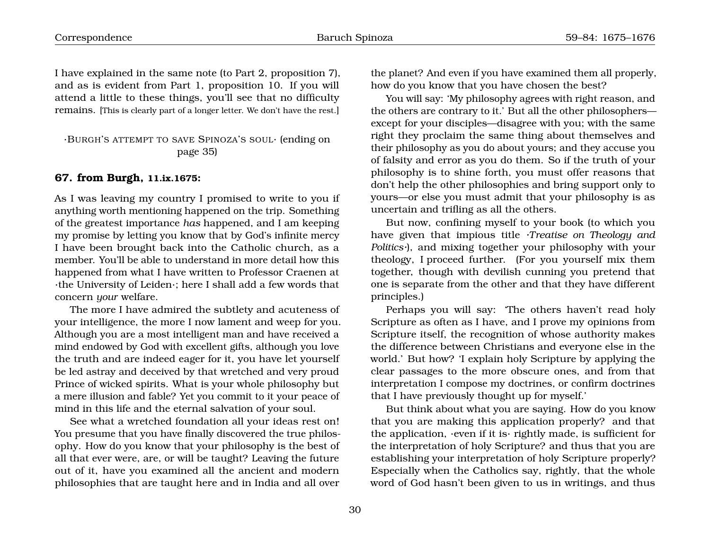I have explained in the same note (to Part 2, proposition 7), and as is evident from Part 1, proposition 10. If you will attend a little to these things, you'll see that no difficulty remains. [This is clearly part of a longer letter. We don't have the rest.]

## ·BURGH'S ATTEMPT TO SAVE SPINOZA'S SOUL· (ending on page [35\)](#page-11-0)

# <span id="page-11-0"></span>**67. from Burgh, 11.ix.1675:**

As I was leaving my country I promised to write to you if anything worth mentioning happened on the trip. Something of the greatest importance *has* happened, and I am keeping my promise by letting you know that by God's infinite mercy I have been brought back into the Catholic church, as a member. You'll be able to understand in more detail how this happened from what I have written to Professor Craenen at ·the University of Leiden·; here I shall add a few words that concern *your* welfare.

The more I have admired the subtlety and acuteness of your intelligence, the more I now lament and weep for you. Although you are a most intelligent man and have received a mind endowed by God with excellent gifts, although you love the truth and are indeed eager for it, you have let yourself be led astray and deceived by that wretched and very proud Prince of wicked spirits. What is your whole philosophy but a mere illusion and fable? Yet you commit to it your peace of mind in this life and the eternal salvation of your soul.

See what a wretched foundation all your ideas rest on! You presume that you have finally discovered the true philosophy. How do you know that your philosophy is the best of all that ever were, are, or will be taught? Leaving the future out of it, have you examined all the ancient and modern philosophies that are taught here and in India and all over the planet? And even if you have examined them all properly, how do you know that you have chosen the best?

You will say: 'My philosophy agrees with right reason, and the others are contrary to it.' But all the other philosophers except for your disciples—disagree with you; with the same right they proclaim the same thing about themselves and their philosophy as you do about yours; and they accuse you of falsity and error as you do them. So if the truth of your philosophy is to shine forth, you must offer reasons that don't help the other philosophies and bring support only to yours—or else you must admit that your philosophy is as uncertain and trifling as all the others.

But now, confining myself to your book (to which you have given that impious title *·Treatise on Theology and Politics·*), and mixing together your philosophy with your theology, I proceed further. (For you yourself mix them together, though with devilish cunning you pretend that one is separate from the other and that they have different principles.)

Perhaps you will say: 'The others haven't read holy Scripture as often as I have, and I prove my opinions from Scripture itself, the recognition of whose authority makes the difference between Christians and everyone else in the world.' But how? 'I explain holy Scripture by applying the clear passages to the more obscure ones, and from that interpretation I compose my doctrines, or confirm doctrines that I have previously thought up for myself.'

But think about what you are saying. How do you know that you are making this application properly? and that the application, ·even if it is· rightly made, is sufficient for the interpretation of holy Scripture? and thus that you are establishing your interpretation of holy Scripture properly? Especially when the Catholics say, rightly, that the whole word of God hasn't been given to us in writings, and thus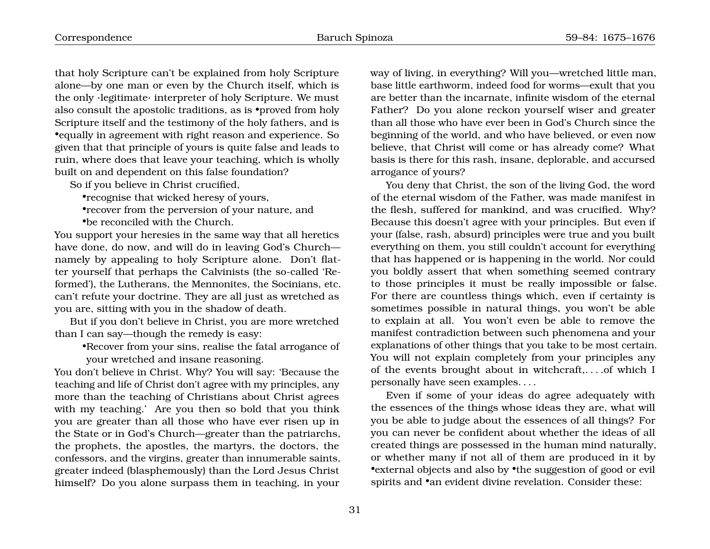that holy Scripture can't be explained from holy Scripture alone—by one man or even by the Church itself, which is the only ·legitimate· interpreter of holy Scripture. We must also consult the apostolic traditions, as is •proved from holy Scripture itself and the testimony of the holy fathers, and is •equally in agreement with right reason and experience. So given that that principle of yours is quite false and leads to ruin, where does that leave your teaching, which is wholly built on and dependent on this false foundation?

So if you believe in Christ crucified,

•recognise that wicked heresy of yours,

•recover from the perversion of your nature, and •be reconciled with the Church.

You support your heresies in the same way that all heretics have done, do now, and will do in leaving God's Church namely by appealing to holy Scripture alone. Don't flatter yourself that perhaps the Calvinists (the so-called 'Reformed'), the Lutherans, the Mennonites, the Socinians, etc. can't refute your doctrine. They are all just as wretched as you are, sitting with you in the shadow of death.

But if you don't believe in Christ, you are more wretched than I can say—though the remedy is easy:

•Recover from your sins, realise the fatal arrogance of your wretched and insane reasoning.

You don't believe in Christ. Why? You will say: 'Because the teaching and life of Christ don't agree with my principles, any more than the teaching of Christians about Christ agrees with my teaching.' Are you then so bold that you think you are greater than all those who have ever risen up in the State or in God's Church—greater than the patriarchs, the prophets, the apostles, the martyrs, the doctors, the confessors, and the virgins, greater than innumerable saints, greater indeed (blasphemously) than the Lord Jesus Christ himself? Do you alone surpass them in teaching, in your way of living, in everything? Will you—wretched little man, base little earthworm, indeed food for worms—exult that you are better than the incarnate, infinite wisdom of the eternal Father? Do you alone reckon yourself wiser and greater than all those who have ever been in God's Church since the beginning of the world, and who have believed, or even now believe, that Christ will come or has already come? What basis is there for this rash, insane, deplorable, and accursed arrogance of yours?

You deny that Christ, the son of the living God, the word of the eternal wisdom of the Father, was made manifest in the flesh, suffered for mankind, and was crucified. Why? Because this doesn't agree with your principles. But even if your (false, rash, absurd) principles were true and you built everything on them, you still couldn't account for everything that has happened or is happening in the world. Nor could you boldly assert that when something seemed contrary to those principles it must be really impossible or false. For there are countless things which, even if certainty is sometimes possible in natural things, you won't be able to explain at all. You won't even be able to remove the manifest contradiction between such phenomena and your explanations of other things that you take to be most certain. You will not explain completely from your principles any of the events brought about in witchcraft,. . . .of which I personally have seen examples. . . .

Even if some of your ideas do agree adequately with the essences of the things whose ideas they are, what will you be able to judge about the essences of all things? For you can never be confident about whether the ideas of all created things are possessed in the human mind naturally, or whether many if not all of them are produced in it by •external objects and also by •the suggestion of good or evil spirits and  $\bullet$ an evident divine revelation. Consider these: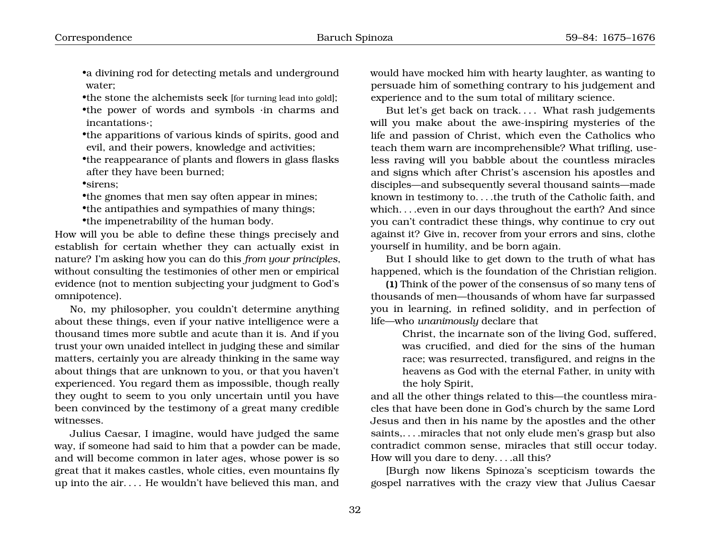•a divining rod for detecting metals and underground water;

•the stone the alchemists seek [for turning lead into gold]; •the power of words and symbols ·in charms and incantations·;

•the apparitions of various kinds of spirits, good and evil, and their powers, knowledge and activities;

•the reappearance of plants and flowers in glass flasks after they have been burned;

•sirens;

•the gnomes that men say often appear in mines;

•the antipathies and sympathies of many things;

•the impenetrability of the human body.

How will you be able to define these things precisely and establish for certain whether they can actually exist in nature? I'm asking how you can do this *from your principles*, without consulting the testimonies of other men or empirical evidence (not to mention subjecting your judgment to God's omnipotence).

No, my philosopher, you couldn't determine anything about these things, even if your native intelligence were a thousand times more subtle and acute than it is. And if you trust your own unaided intellect in judging these and similar matters, certainly you are already thinking in the same way about things that are unknown to you, or that you haven't experienced. You regard them as impossible, though really they ought to seem to you only uncertain until you have been convinced by the testimony of a great many credible witnesses.

Julius Caesar, I imagine, would have judged the same way, if someone had said to him that a powder can be made, and will become common in later ages, whose power is so great that it makes castles, whole cities, even mountains fly up into the air. . . . He wouldn't have believed this man, and

would have mocked him with hearty laughter, as wanting to persuade him of something contrary to his judgement and experience and to the sum total of military science.

But let's get back on track. . . . What rash judgements will you make about the awe-inspiring mysteries of the life and passion of Christ, which even the Catholics who teach them warn are incomprehensible? What trifling, useless raving will you babble about the countless miracles and signs which after Christ's ascension his apostles and disciples—and subsequently several thousand saints—made known in testimony to. . . .the truth of the Catholic faith, and which...even in our days throughout the earth? And since you can't contradict these things, why continue to cry out against it? Give in, recover from your errors and sins, clothe yourself in humility, and be born again.

But I should like to get down to the truth of what has happened, which is the foundation of the Christian religion.

**(1)** Think of the power of the consensus of so many tens of thousands of men—thousands of whom have far surpassed you in learning, in refined solidity, and in perfection of life—who *unanimously* declare that

> Christ, the incarnate son of the living God, suffered, was crucified, and died for the sins of the human race; was resurrected, transfigured, and reigns in the heavens as God with the eternal Father, in unity with the holy Spirit,

and all the other things related to this—the countless miracles that have been done in God's church by the same Lord Jesus and then in his name by the apostles and the other saints,. . . .miracles that not only elude men's grasp but also contradict common sense, miracles that still occur today. How will you dare to deny. . . .all this?

[Burgh now likens Spinoza's scepticism towards the gospel narratives with the crazy view that Julius Caesar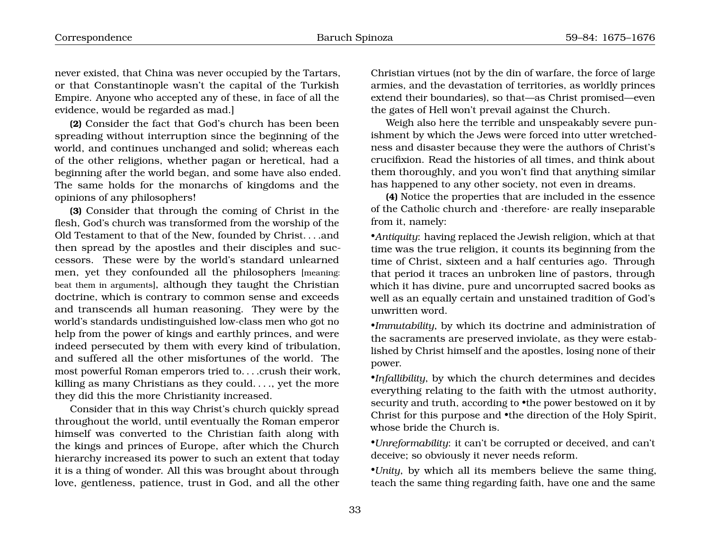never existed, that China was never occupied by the Tartars, or that Constantinople wasn't the capital of the Turkish Empire. Anyone who accepted any of these, in face of all the evidence, would be regarded as mad.]

**(2)** Consider the fact that God's church has been been spreading without interruption since the beginning of the world, and continues unchanged and solid; whereas each of the other religions, whether pagan or heretical, had a beginning after the world began, and some have also ended. The same holds for the monarchs of kingdoms and the opinions of any philosophers!

**(3)** Consider that through the coming of Christ in the flesh, God's church was transformed from the worship of the Old Testament to that of the New, founded by Christ. . . .and then spread by the apostles and their disciples and successors. These were by the world's standard unlearned men, yet they confounded all the philosophers [meaning: beat them in arguments], although they taught the Christian doctrine, which is contrary to common sense and exceeds and transcends all human reasoning. They were by the world's standards undistinguished low-class men who got no help from the power of kings and earthly princes, and were indeed persecuted by them with every kind of tribulation, and suffered all the other misfortunes of the world. The most powerful Roman emperors tried to. . . .crush their work, killing as many Christians as they could. . . ., yet the more they did this the more Christianity increased.

Consider that in this way Christ's church quickly spread throughout the world, until eventually the Roman emperor himself was converted to the Christian faith along with the kings and princes of Europe, after which the Church hierarchy increased its power to such an extent that today it is a thing of wonder. All this was brought about through love, gentleness, patience, trust in God, and all the other

Christian virtues (not by the din of warfare, the force of large armies, and the devastation of territories, as worldly princes extend their boundaries), so that—as Christ promised—even the gates of Hell won't prevail against the Church.

Weigh also here the terrible and unspeakably severe punishment by which the Jews were forced into utter wretchedness and disaster because they were the authors of Christ's crucifixion. Read the histories of all times, and think about them thoroughly, and you won't find that anything similar has happened to any other society, not even in dreams.

**(4)** Notice the properties that are included in the essence of the Catholic church and ·therefore· are really inseparable from it, namely:

•*Antiquity*: having replaced the Jewish religion, which at that time was the true religion, it counts its beginning from the time of Christ, sixteen and a half centuries ago. Through that period it traces an unbroken line of pastors, through which it has divine, pure and uncorrupted sacred books as well as an equally certain and unstained tradition of God's unwritten word.

•*Immutability*, by which its doctrine and administration of the sacraments are preserved inviolate, as they were established by Christ himself and the apostles, losing none of their power.

•*Infallibility*, by which the church determines and decides everything relating to the faith with the utmost authority, security and truth, according to •the power bestowed on it by Christ for this purpose and •the direction of the Holy Spirit, whose bride the Church is.

•*Unreformability*: it can't be corrupted or deceived, and can't deceive; so obviously it never needs reform.

•*Unity*, by which all its members believe the same thing, teach the same thing regarding faith, have one and the same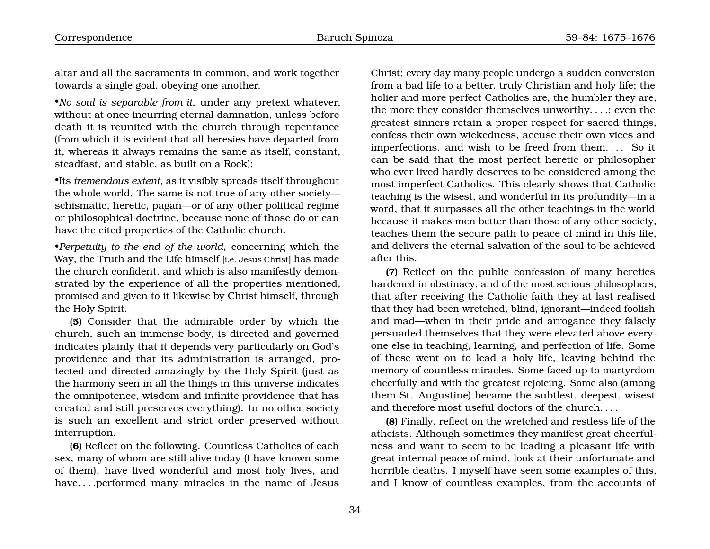altar and all the sacraments in common, and work together towards a single goal, obeying one another.

•*No soul is separable from it*, under any pretext whatever, without at once incurring eternal damnation, unless before death it is reunited with the church through repentance (from which it is evident that all heresies have departed from it, whereas it always remains the same as itself, constant, steadfast, and stable, as built on a Rock);

•Its *tremendous extent*, as it visibly spreads itself throughout the whole world. The same is not true of any other society schismatic, heretic, pagan—or of any other political regime or philosophical doctrine, because none of those do or can have the cited properties of the Catholic church.

•*Perpetuity to the end of the world*, concerning which the Way, the Truth and the Life himself [i.e. Jesus Christ] has made the church confident, and which is also manifestly demonstrated by the experience of all the properties mentioned, promised and given to it likewise by Christ himself, through the Holy Spirit.

**(5)** Consider that the admirable order by which the church, such an immense body, is directed and governed indicates plainly that it depends very particularly on God's providence and that its administration is arranged, protected and directed amazingly by the Holy Spirit (just as the harmony seen in all the things in this universe indicates the omnipotence, wisdom and infinite providence that has created and still preserves everything). In no other society is such an excellent and strict order preserved without interruption.

**(6)** Reflect on the following. Countless Catholics of each sex, many of whom are still alive today (I have known some of them), have lived wonderful and most holy lives, and have. . . .performed many miracles in the name of Jesus

Christ; every day many people undergo a sudden conversion from a bad life to a better, truly Christian and holy life; the holier and more perfect Catholics are, the humbler they are, the more they consider themselves unworthy. . . .; even the greatest sinners retain a proper respect for sacred things, confess their own wickedness, accuse their own vices and imperfections, and wish to be freed from them. . . . So it can be said that the most perfect heretic or philosopher who ever lived hardly deserves to be considered among the most imperfect Catholics. This clearly shows that Catholic teaching is the wisest, and wonderful in its profundity—in a word, that it surpasses all the other teachings in the world because it makes men better than those of any other society, teaches them the secure path to peace of mind in this life, and delivers the eternal salvation of the soul to be achieved after this.

**(7)** Reflect on the public confession of many heretics hardened in obstinacy, and of the most serious philosophers, that after receiving the Catholic faith they at last realised that they had been wretched, blind, ignorant—indeed foolish and mad—when in their pride and arrogance they falsely persuaded themselves that they were elevated above everyone else in teaching, learning, and perfection of life. Some of these went on to lead a holy life, leaving behind the memory of countless miracles. Some faced up to martyrdom cheerfully and with the greatest rejoicing. Some also (among them St. Augustine) became the subtlest, deepest, wisest and therefore most useful doctors of the church. . . .

**(8)** Finally, reflect on the wretched and restless life of the atheists. Although sometimes they manifest great cheerfulness and want to seem to be leading a pleasant life with great internal peace of mind, look at their unfortunate and horrible deaths. I myself have seen some examples of this, and I know of countless examples, from the accounts of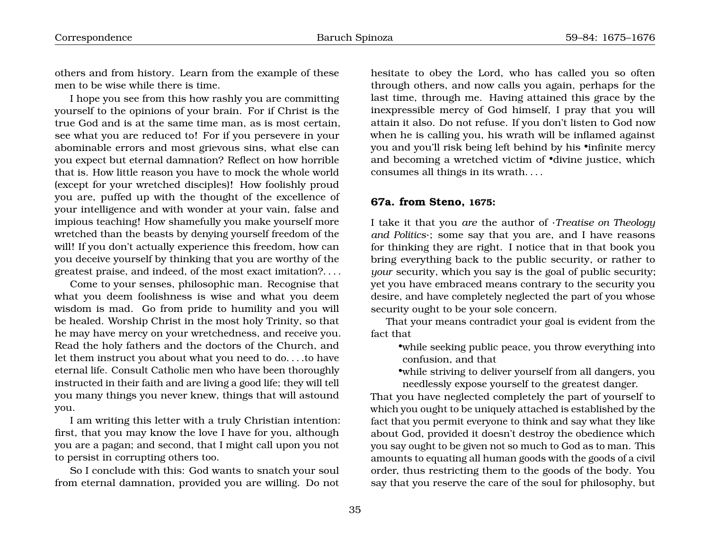others and from history. Learn from the example of these men to be wise while there is time.

I hope you see from this how rashly you are committing yourself to the opinions of your brain. For if Christ is the true God and is at the same time man, as is most certain, see what you are reduced to! For if you persevere in your abominable errors and most grievous sins, what else can you expect but eternal damnation? Reflect on how horrible that is. How little reason you have to mock the whole world (except for your wretched disciples)! How foolishly proud you are, puffed up with the thought of the excellence of your intelligence and with wonder at your vain, false and impious teaching! How shamefully you make yourself more wretched than the beasts by denying yourself freedom of the will! If you don't actually experience this freedom, how can you deceive yourself by thinking that you are worthy of the greatest praise, and indeed, of the most exact imitation?. . . .

Come to your senses, philosophic man. Recognise that what you deem foolishness is wise and what you deem wisdom is mad. Go from pride to humility and you will be healed. Worship Christ in the most holy Trinity, so that he may have mercy on your wretchedness, and receive you. Read the holy fathers and the doctors of the Church, and let them instruct you about what you need to do. . . .to have eternal life. Consult Catholic men who have been thoroughly instructed in their faith and are living a good life; they will tell you many things you never knew, things that will astound you.

I am writing this letter with a truly Christian intention: first, that you may know the love I have for you, although you are a pagan; and second, that I might call upon you not to persist in corrupting others too.

So I conclude with this: God wants to snatch your soul from eternal damnation, provided you are willing. Do not hesitate to obey the Lord, who has called you so often through others, and now calls you again, perhaps for the last time, through me. Having attained this grace by the inexpressible mercy of God himself, I pray that you will attain it also. Do not refuse. If you don't listen to God now when he is calling you, his wrath will be inflamed against you and you'll risk being left behind by his •infinite mercy and becoming a wretched victim of •divine justice, which consumes all things in its wrath. . . .

### <span id="page-16-0"></span>**67a. from Steno, 1675:**

I take it that you *are* the author of ·*Treatise on Theology and Politics*·; some say that you are, and I have reasons for thinking they are right. I notice that in that book you bring everything back to the public security, or rather to *your* security, which you say is the goal of public security; yet you have embraced means contrary to the security you desire, and have completely neglected the part of you whose security ought to be your sole concern.

That your means contradict your goal is evident from the fact that

•while seeking public peace, you throw everything into confusion, and that

•while striving to deliver yourself from all dangers, you needlessly expose yourself to the greatest danger.

That you have neglected completely the part of yourself to which you ought to be uniquely attached is established by the fact that you permit everyone to think and say what they like about God, provided it doesn't destroy the obedience which you say ought to be given not so much to God as to man. This amounts to equating all human goods with the goods of a civil order, thus restricting them to the goods of the body. You say that you reserve the care of the soul for philosophy, but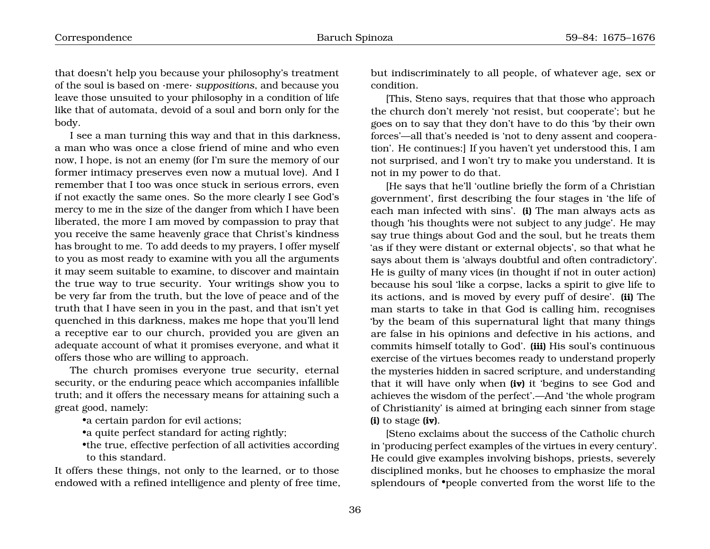that doesn't help you because your philosophy's treatment of the soul is based on ·mere· *suppositions*, and because you leave those unsuited to your philosophy in a condition of life like that of automata, devoid of a soul and born only for the body.

I see a man turning this way and that in this darkness, a man who was once a close friend of mine and who even now, I hope, is not an enemy (for I'm sure the memory of our former intimacy preserves even now a mutual love). And I remember that I too was once stuck in serious errors, even if not exactly the same ones. So the more clearly I see God's mercy to me in the size of the danger from which I have been liberated, the more I am moved by compassion to pray that you receive the same heavenly grace that Christ's kindness has brought to me. To add deeds to my prayers, I offer myself to you as most ready to examine with you all the arguments it may seem suitable to examine, to discover and maintain the true way to true security. Your writings show you to be very far from the truth, but the love of peace and of the truth that I have seen in you in the past, and that isn't yet quenched in this darkness, makes me hope that you'll lend a receptive ear to our church, provided you are given an adequate account of what it promises everyone, and what it offers those who are willing to approach.

The church promises everyone true security, eternal security, or the enduring peace which accompanies infallible truth; and it offers the necessary means for attaining such a great good, namely:

•a certain pardon for evil actions;

•a quite perfect standard for acting rightly;

•the true, effective perfection of all activities according to this standard.

It offers these things, not only to the learned, or to those endowed with a refined intelligence and plenty of free time, but indiscriminately to all people, of whatever age, sex or condition.

[This, Steno says, requires that that those who approach the church don't merely 'not resist, but cooperate'; but he goes on to say that they don't have to do this 'by their own forces'—all that's needed is 'not to deny assent and cooperation'. He continues:] If you haven't yet understood this, I am not surprised, and I won't try to make you understand. It is not in my power to do that.

[He says that he'll 'outline briefly the form of a Christian government', first describing the four stages in 'the life of each man infected with sins'. **(i)** The man always acts as though 'his thoughts were not subject to any judge'. He may say true things about God and the soul, but he treats them 'as if they were distant or external objects', so that what he says about them is 'always doubtful and often contradictory'. He is guilty of many vices (in thought if not in outer action) because his soul 'like a corpse, lacks a spirit to give life to its actions, and is moved by every puff of desire'. **(ii)** The man starts to take in that God is calling him, recognises 'by the beam of this supernatural light that many things are false in his opinions and defective in his actions, and commits himself totally to God'. **(iii)** His soul's continuous exercise of the virtues becomes ready to understand properly the mysteries hidden in sacred scripture, and understanding that it will have only when **(iv)** it 'begins to see God and achieves the wisdom of the perfect'.—And 'the whole program of Christianity' is aimed at bringing each sinner from stage **(i)** to stage **(iv)**.

[Steno exclaims about the success of the Catholic church in 'producing perfect examples of the virtues in every century'. He could give examples involving bishops, priests, severely disciplined monks, but he chooses to emphasize the moral splendours of •people converted from the worst life to the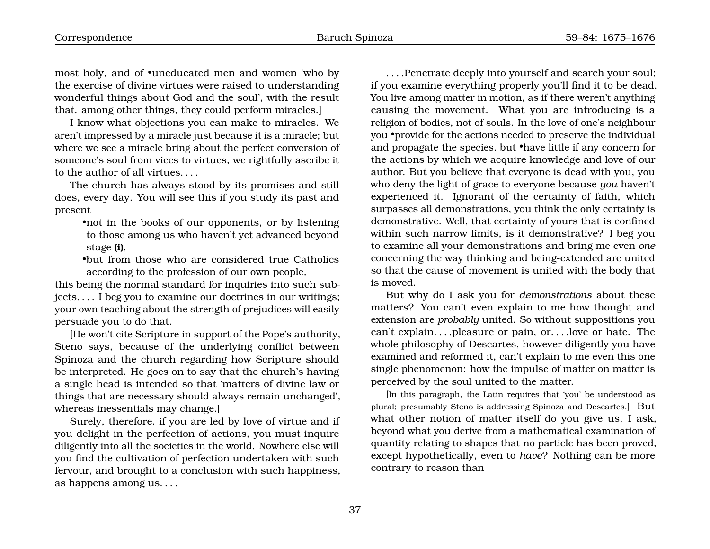most holy, and of •uneducated men and women 'who by the exercise of divine virtues were raised to understanding wonderful things about God and the soul', with the result that. among other things, they could perform miracles.]

I know what objections you can make to miracles. We aren't impressed by a miracle just because it is a miracle; but where we see a miracle bring about the perfect conversion of someone's soul from vices to virtues, we rightfully ascribe it to the author of all virtues. . . .

The church has always stood by its promises and still does, every day. You will see this if you study its past and present

•not in the books of our opponents, or by listening to those among us who haven't yet advanced beyond stage **(i)**,

•but from those who are considered true Catholics according to the profession of our own people,

this being the normal standard for inquiries into such subjects. . . . I beg you to examine our doctrines in our writings; your own teaching about the strength of prejudices will easily persuade you to do that.

[He won't cite Scripture in support of the Pope's authority, Steno says, because of the underlying conflict between Spinoza and the church regarding how Scripture should be interpreted. He goes on to say that the church's having a single head is intended so that 'matters of divine law or things that are necessary should always remain unchanged', whereas inessentials may change.]

Surely, therefore, if you are led by love of virtue and if you delight in the perfection of actions, you must inquire diligently into all the societies in the world. Nowhere else will you find the cultivation of perfection undertaken with such fervour, and brought to a conclusion with such happiness, as happens among us. . . .

. . . .Penetrate deeply into yourself and search your soul; if you examine everything properly you'll find it to be dead. You live among matter in motion, as if there weren't anything causing the movement. What you are introducing is a religion of bodies, not of souls. In the love of one's neighbour you •provide for the actions needed to preserve the individual and propagate the species, but •have little if any concern for the actions by which we acquire knowledge and love of our author. But you believe that everyone is dead with you, you who deny the light of grace to everyone because *you* haven't experienced it. Ignorant of the certainty of faith, which surpasses all demonstrations, you think the only certainty is demonstrative. Well, that certainty of yours that is confined within such narrow limits, is it demonstrative? I beg you to examine all your demonstrations and bring me even *one* concerning the way thinking and being-extended are united so that the cause of movement is united with the body that is moved.

But why do I ask you for *demonstrations* about these matters? You can't even explain to me how thought and extension are *probably* united. So without suppositions you can't explain. . . .pleasure or pain, or. . . .love or hate. The whole philosophy of Descartes, however diligently you have examined and reformed it, can't explain to me even this one single phenomenon: how the impulse of matter on matter is perceived by the soul united to the matter.

[In this paragraph, the Latin requires that 'you' be understood as plural; presumably Steno is addressing Spinoza and Descartes.] But what other notion of matter itself do you give us, I ask, beyond what you derive from a mathematical examination of quantity relating to shapes that no particle has been proved, except hypothetically, even to *have*? Nothing can be more contrary to reason than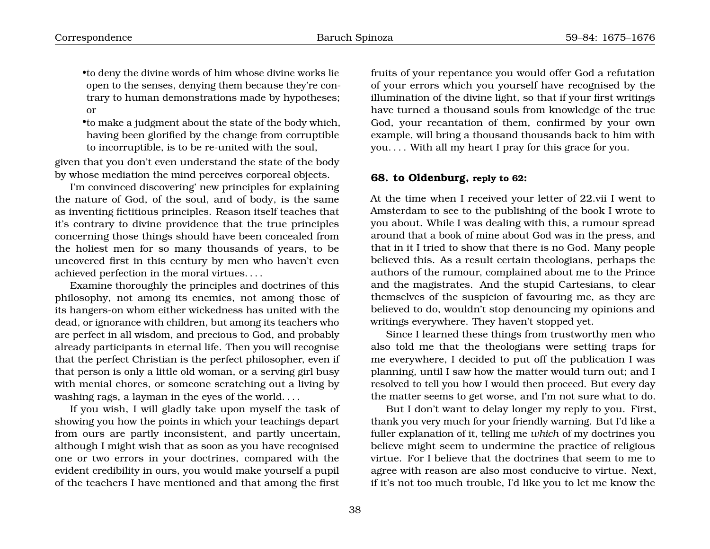•to deny the divine words of him whose divine works lie open to the senses, denying them because they're contrary to human demonstrations made by hypotheses; or

•to make a judgment about the state of the body which, having been glorified by the change from corruptible to incorruptible, is to be re-united with the soul,

given that you don't even understand the state of the body by whose mediation the mind perceives corporeal objects.

I'm convinced discovering' new principles for explaining the nature of God, of the soul, and of body, is the same as inventing fictitious principles. Reason itself teaches that it's contrary to divine providence that the true principles concerning those things should have been concealed from the holiest men for so many thousands of years, to be uncovered first in this century by men who haven't even achieved perfection in the moral virtues. . . .

Examine thoroughly the principles and doctrines of this philosophy, not among its enemies, not among those of its hangers-on whom either wickedness has united with the dead, or ignorance with children, but among its teachers who are perfect in all wisdom, and precious to God, and probably already participants in eternal life. Then you will recognise that the perfect Christian is the perfect philosopher, even if that person is only a little old woman, or a serving girl busy with menial chores, or someone scratching out a living by washing rags, a layman in the eyes of the world. . . .

If you wish, I will gladly take upon myself the task of showing you how the points in which your teachings depart from ours are partly inconsistent, and partly uncertain, although I might wish that as soon as you have recognised one or two errors in your doctrines, compared with the evident credibility in ours, you would make yourself a pupil of the teachers I have mentioned and that among the first fruits of your repentance you would offer God a refutation of your errors which you yourself have recognised by the illumination of the divine light, so that if your first writings have turned a thousand souls from knowledge of the true God, your recantation of them, confirmed by your own example, will bring a thousand thousands back to him with you. . . . With all my heart I pray for this grace for you.

#### <span id="page-19-0"></span>**68. to Oldenburg, reply to 62:**

At the time when I received your letter of 22.vii I went to Amsterdam to see to the publishing of the book I wrote to you about. While I was dealing with this, a rumour spread around that a book of mine about God was in the press, and that in it I tried to show that there is no God. Many people believed this. As a result certain theologians, perhaps the authors of the rumour, complained about me to the Prince and the magistrates. And the stupid Cartesians, to clear themselves of the suspicion of favouring me, as they are believed to do, wouldn't stop denouncing my opinions and writings everywhere. They haven't stopped yet.

Since I learned these things from trustworthy men who also told me that the theologians were setting traps for me everywhere, I decided to put off the publication I was planning, until I saw how the matter would turn out; and I resolved to tell you how I would then proceed. But every day the matter seems to get worse, and I'm not sure what to do.

But I don't want to delay longer my reply to you. First, thank you very much for your friendly warning. But I'd like a fuller explanation of it, telling me *which* of my doctrines you believe might seem to undermine the practice of religious virtue. For I believe that the doctrines that seem to me to agree with reason are also most conducive to virtue. Next, if it's not too much trouble, I'd like you to let me know the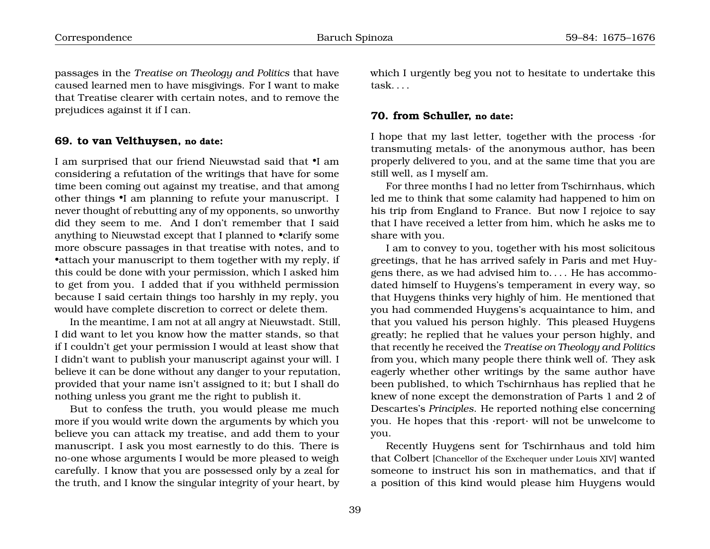passages in the *Treatise on Theology and Politics* that have caused learned men to have misgivings. For I want to make that Treatise clearer with certain notes, and to remove the prejudices against it if I can.

#### <span id="page-20-0"></span>**69. to van Velthuysen, no date:**

I am surprised that our friend Nieuwstad said that •I am considering a refutation of the writings that have for some time been coming out against my treatise, and that among other things •I am planning to refute your manuscript. I never thought of rebutting any of my opponents, so unworthy did they seem to me. And I don't remember that I said anything to Nieuwstad except that I planned to •clarify some more obscure passages in that treatise with notes, and to •attach your manuscript to them together with my reply, if this could be done with your permission, which I asked him to get from you. I added that if you withheld permission because I said certain things too harshly in my reply, you would have complete discretion to correct or delete them.

In the meantime, I am not at all angry at Nieuwstadt. Still, I did want to let you know how the matter stands, so that if I couldn't get your permission I would at least show that I didn't want to publish your manuscript against your will. I believe it can be done without any danger to your reputation, provided that your name isn't assigned to it; but I shall do nothing unless you grant me the right to publish it.

But to confess the truth, you would please me much more if you would write down the arguments by which you believe you can attack my treatise, and add them to your manuscript. I ask you most earnestly to do this. There is no-one whose arguments I would be more pleased to weigh carefully. I know that you are possessed only by a zeal for the truth, and I know the singular integrity of your heart, by which I urgently beg you not to hesitate to undertake this task. . . .

#### <span id="page-20-1"></span>**70. from Schuller, no date:**

I hope that my last letter, together with the process ·for transmuting metals· of the anonymous author, has been properly delivered to you, and at the same time that you are still well, as I myself am.

For three months I had no letter from Tschirnhaus, which led me to think that some calamity had happened to him on his trip from England to France. But now I rejoice to say that I have received a letter from him, which he asks me to share with you.

I am to convey to you, together with his most solicitous greetings, that he has arrived safely in Paris and met Huygens there, as we had advised him to. . . . He has accommodated himself to Huygens's temperament in every way, so that Huygens thinks very highly of him. He mentioned that you had commended Huygens's acquaintance to him, and that you valued his person highly. This pleased Huygens greatly; he replied that he values your person highly, and that recently he received the *Treatise on Theology and Politics* from you, which many people there think well of. They ask eagerly whether other writings by the same author have been published, to which Tschirnhaus has replied that he knew of none except the demonstration of Parts 1 and 2 of Descartes's *Principles*. He reported nothing else concerning you. He hopes that this ·report· will not be unwelcome to you.

Recently Huygens sent for Tschirnhaus and told him that Colbert [Chancellor of the Exchequer under Louis XIV] wanted someone to instruct his son in mathematics, and that if a position of this kind would please him Huygens would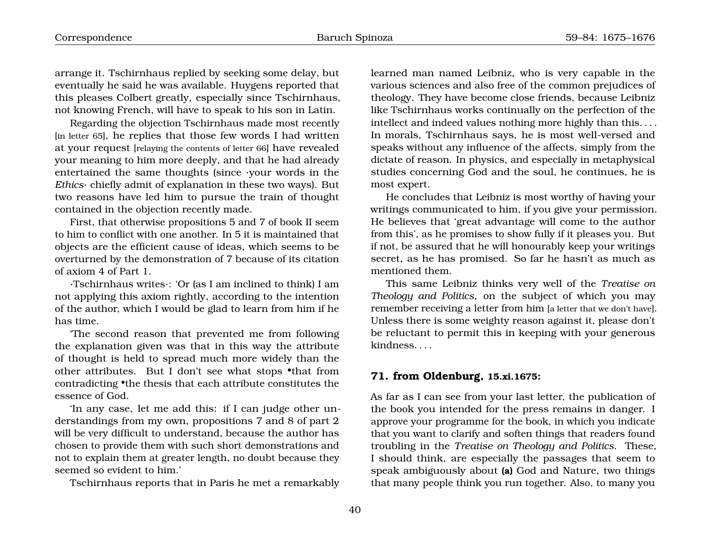arrange it. Tschirnhaus replied by seeking some delay, but eventually he said he was available. Huygens reported that this pleases Colbert greatly, especially since Tschirnhaus, not knowing French, will have to speak to his son in Latin.

Regarding the objection Tschirnhaus made most recently [in letter 65], he replies that those few words I had written at your request [relaying the contents of letter 66] have revealed your meaning to him more deeply, and that he had already entertained the same thoughts (since ·your words in the *Ethics*· chiefly admit of explanation in these two ways). But two reasons have led him to pursue the train of thought contained in the objection recently made.

First, that otherwise propositions 5 and 7 of book II seem to him to conflict with one another. In 5 it is maintained that objects are the efficient cause of ideas, which seems to be overturned by the demonstration of 7 because of its citation of axiom 4 of Part 1.

·Tschirnhaus writes·: 'Or (as I am inclined to think) I am not applying this axiom rightly, according to the intention of the author, which I would be glad to learn from him if he has time.

'The second reason that prevented me from following the explanation given was that in this way the attribute of thought is held to spread much more widely than the other attributes. But I don't see what stops •that from contradicting •the thesis that each attribute constitutes the essence of God.

'In any case, let me add this: if I can judge other understandings from my own, propositions 7 and 8 of part 2 will be very difficult to understand, because the author has chosen to provide them with such short demonstrations and not to explain them at greater length, no doubt because they seemed so evident to him.'

Tschirnhaus reports that in Paris he met a remarkably

learned man named Leibniz, who is very capable in the various sciences and also free of the common prejudices of theology. They have become close friends, because Leibniz like Tschirnhaus works continually on the perfection of the intellect and indeed values nothing more highly than this. . . . In morals, Tschirnhaus says, he is most well-versed and speaks without any influence of the affects, simply from the dictate of reason. In physics, and especially in metaphysical studies concerning God and the soul, he continues, he is most expert.

He concludes that Leibniz is most worthy of having your writings communicated to him, if you give your permission. He believes that 'great advantage will come to the author from this', as he promises to show fully if it pleases you. But if not, be assured that he will honourably keep your writings secret, as he has promised. So far he hasn't as much as mentioned them.

This same Leibniz thinks very well of the *Treatise on Theology and Politics*, on the subject of which you may remember receiving a letter from him [a letter that we don't have]. Unless there is some weighty reason against it, please don't be reluctant to permit this in keeping with your generous kindness. . . .

#### <span id="page-21-0"></span>**71. from Oldenburg, 15.xi.1675:**

As far as I can see from your last letter, the publication of the book you intended for the press remains in danger. I approve your programme for the book, in which you indicate that you want to clarify and soften things that readers found troubling in the *Treatise on Theology and Politics*. These, I should think, are especially the passages that seem to speak ambiguously about **(a)** God and Nature, two things that many people think you run together. Also, to many you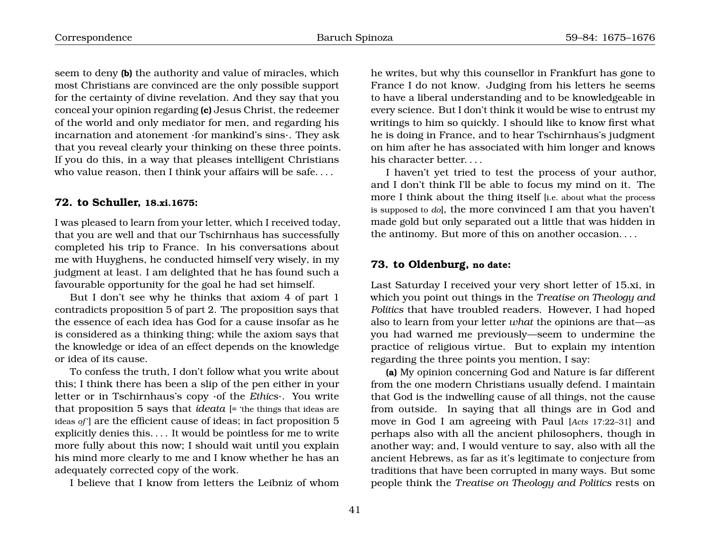seem to deny **(b)** the authority and value of miracles, which most Christians are convinced are the only possible support for the certainty of divine revelation. And they say that you conceal your opinion regarding **(c)** Jesus Christ, the redeemer of the world and only mediator for men, and regarding his incarnation and atonement ·for mankind's sins·. They ask that you reveal clearly your thinking on these three points. If you do this, in a way that pleases intelligent Christians who value reason, then I think your affairs will be safe. . . .

#### <span id="page-22-0"></span>**72. to Schuller, 18.xi.1675:**

I was pleased to learn from your letter, which I received today, that you are well and that our Tschirnhaus has successfully completed his trip to France. In his conversations about me with Huyghens, he conducted himself very wisely, in my judgment at least. I am delighted that he has found such a favourable opportunity for the goal he had set himself.

But I don't see why he thinks that axiom 4 of part 1 contradicts proposition 5 of part 2. The proposition says that the essence of each idea has God for a cause insofar as he is considered as a thinking thing; while the axiom says that the knowledge or idea of an effect depends on the knowledge or idea of its cause.

To confess the truth, I don't follow what you write about this; I think there has been a slip of the pen either in your letter or in Tschirnhaus's copy ·of the *Ethics*·. You write that proposition 5 says that *ideata* [= 'the things that ideas are ideas *of* '] are the efficient cause of ideas; in fact proposition 5 explicitly denies this. . . . It would be pointless for me to write more fully about this now; I should wait until you explain his mind more clearly to me and I know whether he has an adequately corrected copy of the work.

I believe that I know from letters the Leibniz of whom

he writes, but why this counsellor in Frankfurt has gone to France I do not know. Judging from his letters he seems to have a liberal understanding and to be knowledgeable in every science. But I don't think it would be wise to entrust my writings to him so quickly. I should like to know first what he is doing in France, and to hear Tschirnhaus's judgment on him after he has associated with him longer and knows his character better. . . .

I haven't yet tried to test the process of your author, and I don't think I'll be able to focus my mind on it. The more I think about the thing itself [i.e. about what the process is supposed to *do*], the more convinced I am that you haven't made gold but only separated out a little that was hidden in the antinomy. But more of this on another occasion. . . .

# <span id="page-22-1"></span>**73. to Oldenburg, no date:**

Last Saturday I received your very short letter of 15.xi, in which you point out things in the *Treatise on Theology and Politics* that have troubled readers. However, I had hoped also to learn from your letter *what* the opinions are that—as you had warned me previously—seem to undermine the practice of religious virtue. But to explain my intention regarding the three points you mention, I say:

**(a)** My opinion concerning God and Nature is far different from the one modern Christians usually defend. I maintain that God is the indwelling cause of all things, not the cause from outside. In saying that all things are in God and move in God I am agreeing with Paul [*Acts* 17:22–31] and perhaps also with all the ancient philosophers, though in another way; and, I would venture to say, also with all the ancient Hebrews, as far as it's legitimate to conjecture from traditions that have been corrupted in many ways. But some people think the *Treatise on Theology and Politics* rests on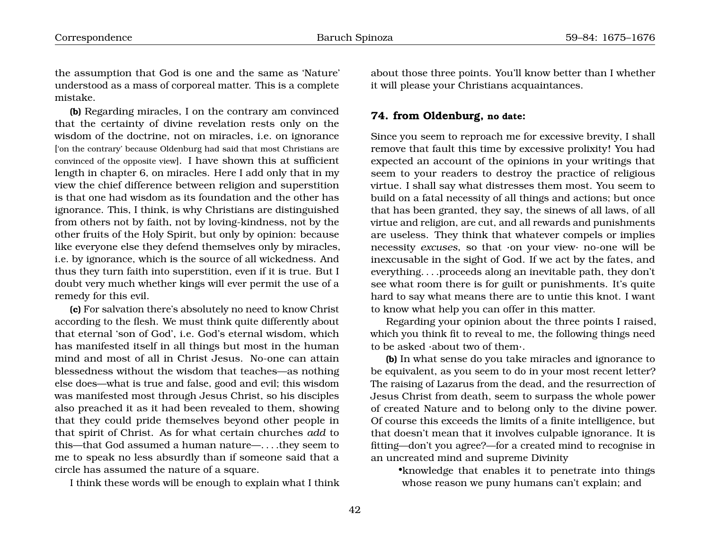the assumption that God is one and the same as 'Nature' understood as a mass of corporeal matter. This is a complete mistake.

**(b)** Regarding miracles, I on the contrary am convinced that the certainty of divine revelation rests only on the wisdom of the doctrine, not on miracles, i.e. on ignorance ['on the contrary' because Oldenburg had said that most Christians are convinced of the opposite view]. I have shown this at sufficient length in chapter 6, on miracles. Here I add only that in my view the chief difference between religion and superstition is that one had wisdom as its foundation and the other has ignorance. This, I think, is why Christians are distinguished from others not by faith, not by loving-kindness, not by the other fruits of the Holy Spirit, but only by opinion: because like everyone else they defend themselves only by miracles, i.e. by ignorance, which is the source of all wickedness. And thus they turn faith into superstition, even if it is true. But I doubt very much whether kings will ever permit the use of a remedy for this evil.

**(c)** For salvation there's absolutely no need to know Christ according to the flesh. We must think quite differently about that eternal 'son of God', i.e. God's eternal wisdom, which has manifested itself in all things but most in the human mind and most of all in Christ Jesus. No-one can attain blessedness without the wisdom that teaches—as nothing else does—what is true and false, good and evil; this wisdom was manifested most through Jesus Christ, so his disciples also preached it as it had been revealed to them, showing that they could pride themselves beyond other people in that spirit of Christ. As for what certain churches *add* to this—that God assumed a human nature—. . . .they seem to me to speak no less absurdly than if someone said that a circle has assumed the nature of a square.

I think these words will be enough to explain what I think

about those three points. You'll know better than I whether it will please your Christians acquaintances.

#### <span id="page-23-0"></span>**74. from Oldenburg, no date:**

Since you seem to reproach me for excessive brevity, I shall remove that fault this time by excessive prolixity! You had expected an account of the opinions in your writings that seem to your readers to destroy the practice of religious virtue. I shall say what distresses them most. You seem to build on a fatal necessity of all things and actions; but once that has been granted, they say, the sinews of all laws, of all virtue and religion, are cut, and all rewards and punishments are useless. They think that whatever compels or implies necessity *excuses*, so that ·on your view· no-one will be inexcusable in the sight of God. If we act by the fates, and everything. . . .proceeds along an inevitable path, they don't see what room there is for guilt or punishments. It's quite hard to say what means there are to untie this knot. I want to know what help you can offer in this matter.

Regarding your opinion about the three points I raised, which you think fit to reveal to me, the following things need to be asked ·about two of them·.

**(b)** In what sense do you take miracles and ignorance to be equivalent, as you seem to do in your most recent letter? The raising of Lazarus from the dead, and the resurrection of Jesus Christ from death, seem to surpass the whole power of created Nature and to belong only to the divine power. Of course this exceeds the limits of a finite intelligence, but that doesn't mean that it involves culpable ignorance. It is fitting—don't you agree?—for a created mind to recognise in an uncreated mind and supreme Divinity

•knowledge that enables it to penetrate into things whose reason we puny humans can't explain; and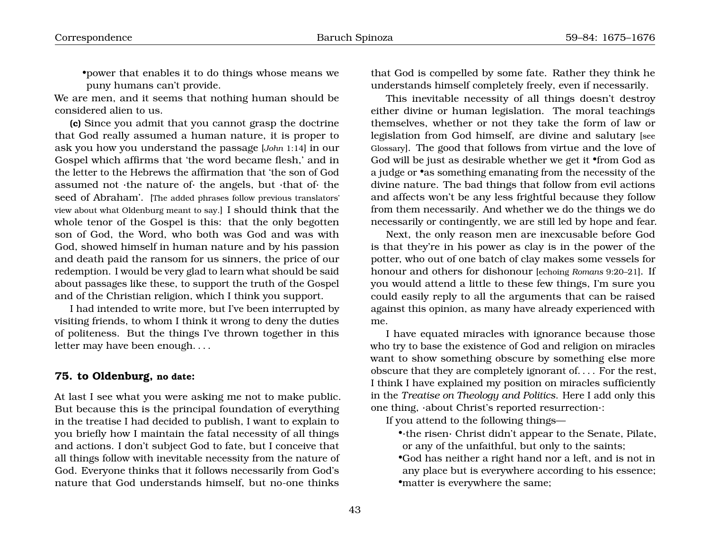•power that enables it to do things whose means we puny humans can't provide.

We are men, and it seems that nothing human should be considered alien to us.

**(c)** Since you admit that you cannot grasp the doctrine that God really assumed a human nature, it is proper to ask you how you understand the passage [*John* 1:14] in our Gospel which affirms that 'the word became flesh,' and in the letter to the Hebrews the affirmation that 'the son of God assumed not ·the nature of· the angels, but ·that of· the seed of Abraham'. [The added phrases follow previous translators' view about what Oldenburg meant to say.] I should think that the whole tenor of the Gospel is this: that the only begotten son of God, the Word, who both was God and was with God, showed himself in human nature and by his passion and death paid the ransom for us sinners, the price of our redemption. I would be very glad to learn what should be said about passages like these, to support the truth of the Gospel and of the Christian religion, which I think you support.

I had intended to write more, but I've been interrupted by visiting friends, to whom I think it wrong to deny the duties of politeness. But the things I've thrown together in this letter may have been enough. . . .

#### <span id="page-24-0"></span>**75. to Oldenburg, no date:**

At last I see what you were asking me not to make public. But because this is the principal foundation of everything in the treatise I had decided to publish, I want to explain to you briefly how I maintain the fatal necessity of all things and actions. I don't subject God to fate, but I conceive that all things follow with inevitable necessity from the nature of God. Everyone thinks that it follows necessarily from God's nature that God understands himself, but no-one thinks

that God is compelled by some fate. Rather they think he understands himself completely freely, even if necessarily.

This inevitable necessity of all things doesn't destroy either divine or human legislation. The moral teachings themselves, whether or not they take the form of law or legislation from God himself, are divine and salutary [see Glossary]. The good that follows from virtue and the love of God will be just as desirable whether we get it •from God as a judge or •as something emanating from the necessity of the divine nature. The bad things that follow from evil actions and affects won't be any less frightful because they follow from them necessarily. And whether we do the things we do necessarily or contingently, we are still led by hope and fear.

Next, the only reason men are inexcusable before God is that they're in his power as clay is in the power of the potter, who out of one batch of clay makes some vessels for honour and others for dishonour [echoing *Romans* 9:20–21]. If you would attend a little to these few things, I'm sure you could easily reply to all the arguments that can be raised against this opinion, as many have already experienced with me.

I have equated miracles with ignorance because those who try to base the existence of God and religion on miracles want to show something obscure by something else more obscure that they are completely ignorant of. . . . For the rest, I think I have explained my position on miracles sufficiently in the *Treatise on Theology and Politics*. Here I add only this one thing, ·about Christ's reported resurrection·:

If you attend to the following things—

•·the risen· Christ didn't appear to the Senate, Pilate, or any of the unfaithful, but only to the saints;

•God has neither a right hand nor a left, and is not in any place but is everywhere according to his essence; •matter is everywhere the same;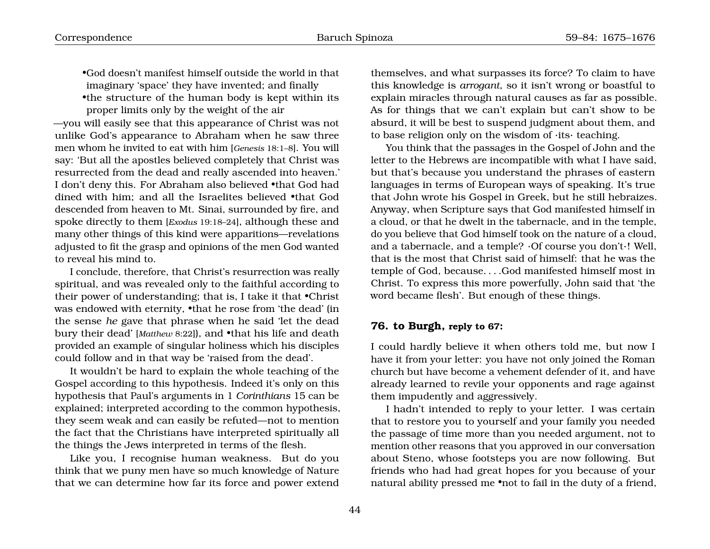•God doesn't manifest himself outside the world in that imaginary 'space' they have invented; and finally •the structure of the human body is kept within its proper limits only by the weight of the air

—you will easily see that this appearance of Christ was not unlike God's appearance to Abraham when he saw three men whom he invited to eat with him [*Genesis* 18:1–8]. You will say: 'But all the apostles believed completely that Christ was resurrected from the dead and really ascended into heaven.' I don't deny this. For Abraham also believed •that God had dined with him; and all the Israelites believed •that God descended from heaven to Mt. Sinai, surrounded by fire, and spoke directly to them [*Exodus* 19:18–24], although these and many other things of this kind were apparitions—revelations adjusted to fit the grasp and opinions of the men God wanted to reveal his mind to.

I conclude, therefore, that Christ's resurrection was really spiritual, and was revealed only to the faithful according to their power of understanding; that is, I take it that •Christ was endowed with eternity, •that he rose from 'the dead' (in the sense *he* gave that phrase when he said 'let the dead bury their dead' [Matthew 8:22]), and *•that his life and death* provided an example of singular holiness which his disciples could follow and in that way be 'raised from the dead'.

It wouldn't be hard to explain the whole teaching of the Gospel according to this hypothesis. Indeed it's only on this hypothesis that Paul's arguments in 1 *Corinthians* 15 can be explained; interpreted according to the common hypothesis, they seem weak and can easily be refuted—not to mention the fact that the Christians have interpreted spiritually all the things the Jews interpreted in terms of the flesh.

Like you, I recognise human weakness. But do you think that we puny men have so much knowledge of Nature that we can determine how far its force and power extend

themselves, and what surpasses its force? To claim to have this knowledge is *arrogant*, so it isn't wrong or boastful to explain miracles through natural causes as far as possible. As for things that we can't explain but can't show to be absurd, it will be best to suspend judgment about them, and to base religion only on the wisdom of ·its· teaching.

You think that the passages in the Gospel of John and the letter to the Hebrews are incompatible with what I have said, but that's because you understand the phrases of eastern languages in terms of European ways of speaking. It's true that John wrote his Gospel in Greek, but he still hebraizes. Anyway, when Scripture says that God manifested himself in a cloud, or that he dwelt in the tabernacle, and in the temple, do you believe that God himself took on the nature of a cloud, and a tabernacle, and a temple? ·Of course you don't·! Well, that is the most that Christ said of himself: that he was the temple of God, because. . . .God manifested himself most in Christ. To express this more powerfully, John said that 'the word became flesh'. But enough of these things.

## <span id="page-25-0"></span>**76. to Burgh, reply to 67:**

I could hardly believe it when others told me, but now I have it from your letter: you have not only joined the Roman church but have become a vehement defender of it, and have already learned to revile your opponents and rage against them impudently and aggressively.

I hadn't intended to reply to your letter. I was certain that to restore you to yourself and your family you needed the passage of time more than you needed argument, not to mention other reasons that you approved in our conversation about Steno, whose footsteps you are now following. But friends who had had great hopes for you because of your natural ability pressed me •not to fail in the duty of a friend,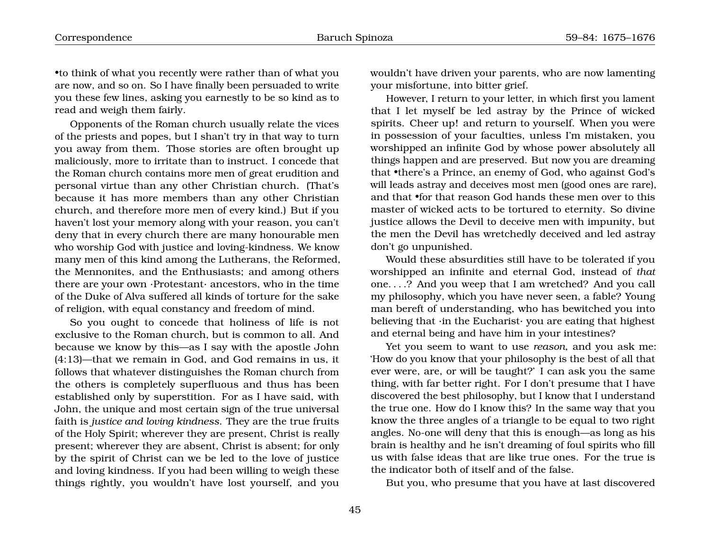•to think of what you recently were rather than of what you are now, and so on. So I have finally been persuaded to write you these few lines, asking you earnestly to be so kind as to read and weigh them fairly.

Opponents of the Roman church usually relate the vices of the priests and popes, but I shan't try in that way to turn you away from them. Those stories are often brought up maliciously, more to irritate than to instruct. I concede that the Roman church contains more men of great erudition and personal virtue than any other Christian church. (That's because it has more members than any other Christian church, and therefore more men of every kind.) But if you haven't lost your memory along with your reason, you can't deny that in every church there are many honourable men who worship God with justice and loving-kindness. We know many men of this kind among the Lutherans, the Reformed, the Mennonites, and the Enthusiasts; and among others there are your own ·Protestant· ancestors, who in the time of the Duke of Alva suffered all kinds of torture for the sake of religion, with equal constancy and freedom of mind.

So you ought to concede that holiness of life is not exclusive to the Roman church, but is common to all. And because we know by this—as I say with the apostle John (4:13)—that we remain in God, and God remains in us, it follows that whatever distinguishes the Roman church from the others is completely superfluous and thus has been established only by superstition. For as I have said, with John, the unique and most certain sign of the true universal faith is *justice and loving kindness*. They are the true fruits of the Holy Spirit; wherever they are present, Christ is really present; wherever they are absent, Christ is absent; for only by the spirit of Christ can we be led to the love of justice and loving kindness. If you had been willing to weigh these things rightly, you wouldn't have lost yourself, and you wouldn't have driven your parents, who are now lamenting your misfortune, into bitter grief.

However, I return to your letter, in which first you lament that I let myself be led astray by the Prince of wicked spirits. Cheer up! and return to yourself. When you were in possession of your faculties, unless I'm mistaken, you worshipped an infinite God by whose power absolutely all things happen and are preserved. But now you are dreaming that •there's a Prince, an enemy of God, who against God's will leads astray and deceives most men (good ones are rare), and that •for that reason God hands these men over to this master of wicked acts to be tortured to eternity. So divine justice allows the Devil to deceive men with impunity, but the men the Devil has wretchedly deceived and led astray don't go unpunished.

Would these absurdities still have to be tolerated if you worshipped an infinite and eternal God, instead of *that* one. . . .? And you weep that I am wretched? And you call my philosophy, which you have never seen, a fable? Young man bereft of understanding, who has bewitched you into believing that ·in the Eucharist· you are eating that highest and eternal being and have him in your intestines?

Yet you seem to want to use *reason*, and you ask me: 'How do you know that your philosophy is the best of all that ever were, are, or will be taught?' I can ask you the same thing, with far better right. For I don't presume that I have discovered the best philosophy, but I know that I understand the true one. How do I know this? In the same way that you know the three angles of a triangle to be equal to two right angles. No-one will deny that this is enough—as long as his brain is healthy and he isn't dreaming of foul spirits who fill us with false ideas that are like true ones. For the true is the indicator both of itself and of the false.

But you, who presume that you have at last discovered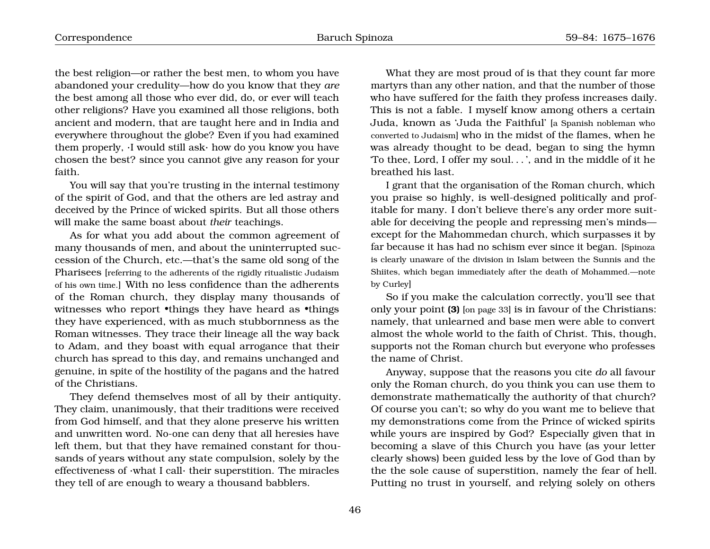the best religion—or rather the best men, to whom you have abandoned your credulity—how do you know that they *are* the best among all those who ever did, do, or ever will teach other religions? Have you examined all those religions, both ancient and modern, that are taught here and in India and everywhere throughout the globe? Even if you had examined them properly, ·I would still ask· how do you know you have chosen the best? since you cannot give any reason for your faith.

You will say that you're trusting in the internal testimony of the spirit of God, and that the others are led astray and deceived by the Prince of wicked spirits. But all those others will make the same boast about *their* teachings.

As for what you add about the common agreement of many thousands of men, and about the uninterrupted succession of the Church, etc.—that's the same old song of the Pharisees [referring to the adherents of the rigidly ritualistic Judaism of his own time.] With no less confidence than the adherents of the Roman church, they display many thousands of witnesses who report •things they have heard as •things they have experienced, with as much stubbornness as the Roman witnesses. They trace their lineage all the way back to Adam, and they boast with equal arrogance that their church has spread to this day, and remains unchanged and genuine, in spite of the hostility of the pagans and the hatred of the Christians.

They defend themselves most of all by their antiquity. They claim, unanimously, that their traditions were received from God himself, and that they alone preserve his written and unwritten word. No-one can deny that all heresies have left them, but that they have remained constant for thousands of years without any state compulsion, solely by the effectiveness of ·what I call· their superstition. The miracles they tell of are enough to weary a thousand babblers.

What they are most proud of is that they count far more martyrs than any other nation, and that the number of those who have suffered for the faith they profess increases daily. This is not a fable. I myself know among others a certain Juda, known as 'Juda the Faithful' [a Spanish nobleman who converted to Judaism] who in the midst of the flames, when he was already thought to be dead, began to sing the hymn 'To thee, Lord, I offer my soul. . . ', and in the middle of it he breathed his last.

I grant that the organisation of the Roman church, which you praise so highly, is well-designed politically and profitable for many. I don't believe there's any order more suitable for deceiving the people and repressing men's minds except for the Mahommedan church, which surpasses it by far because it has had no schism ever since it began. [Spinoza is clearly unaware of the division in Islam between the Sunnis and the Shiites, which began immediately after the death of Mohammed.—note by Curley]

So if you make the calculation correctly, you'll see that only your point **(3)** [on page [33](#page-11-0)] is in favour of the Christians: namely, that unlearned and base men were able to convert almost the whole world to the faith of Christ. This, though, supports not the Roman church but everyone who professes the name of Christ.

Anyway, suppose that the reasons you cite *do* all favour only the Roman church, do you think you can use them to demonstrate mathematically the authority of that church? Of course you can't; so why do you want me to believe that my demonstrations come from the Prince of wicked spirits while yours are inspired by God? Especially given that in becoming a slave of this Church you have (as your letter clearly shows) been guided less by the love of God than by the the sole cause of superstition, namely the fear of hell. Putting no trust in yourself, and relying solely on others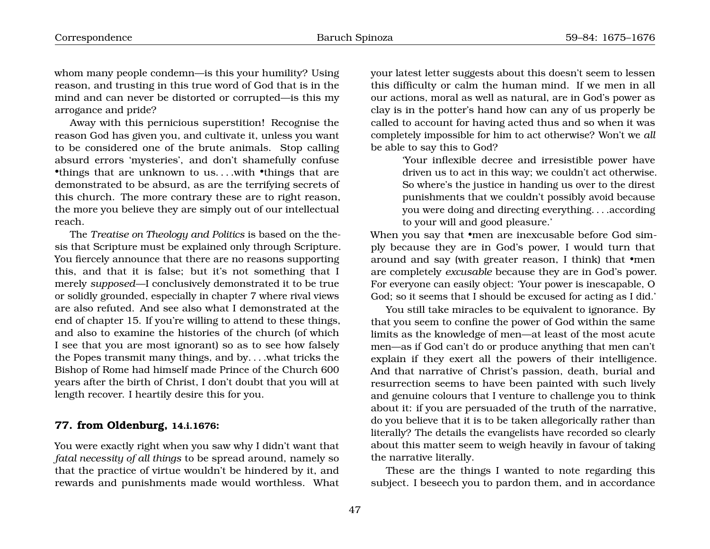whom many people condemn—is this your humility? Using reason, and trusting in this true word of God that is in the mind and can never be distorted or corrupted—is this my arrogance and pride?

Away with this pernicious superstition! Recognise the reason God has given you, and cultivate it, unless you want to be considered one of the brute animals. Stop calling absurd errors 'mysteries', and don't shamefully confuse •things that are unknown to us. . . .with •things that are demonstrated to be absurd, as are the terrifying secrets of this church. The more contrary these are to right reason, the more you believe they are simply out of our intellectual reach.

The *Treatise on Theology and Politics* is based on the thesis that Scripture must be explained only through Scripture. You fiercely announce that there are no reasons supporting this, and that it is false; but it's not something that I merely *supposed*—I conclusively demonstrated it to be true or solidly grounded, especially in chapter 7 where rival views are also refuted. And see also what I demonstrated at the end of chapter 15. If you're willing to attend to these things, and also to examine the histories of the church (of which I see that you are most ignorant) so as to see how falsely the Popes transmit many things, and by. . . .what tricks the Bishop of Rome had himself made Prince of the Church 600 years after the birth of Christ, I don't doubt that you will at length recover. I heartily desire this for you.

### <span id="page-28-0"></span>**77. from Oldenburg, 14.i.1676:**

You were exactly right when you saw why I didn't want that *fatal necessity of all things* to be spread around, namely so that the practice of virtue wouldn't be hindered by it, and rewards and punishments made would worthless. What your latest letter suggests about this doesn't seem to lessen this difficulty or calm the human mind. If we men in all our actions, moral as well as natural, are in God's power as clay is in the potter's hand how can any of us properly be called to account for having acted thus and so when it was completely impossible for him to act otherwise? Won't we *all* be able to say this to God?

> 'Your inflexible decree and irresistible power have driven us to act in this way; we couldn't act otherwise. So where's the justice in handing us over to the direst punishments that we couldn't possibly avoid because you were doing and directing everything. . . .according to your will and good pleasure.'

When you say that **•men are inexcusable before God sim**ply because they are in God's power, I would turn that around and say (with greater reason, I think) that •men are completely *excusable* because they are in God's power. For everyone can easily object: 'Your power is inescapable, O God; so it seems that I should be excused for acting as I did.'

You still take miracles to be equivalent to ignorance. By that you seem to confine the power of God within the same limits as the knowledge of men—at least of the most acute men—as if God can't do or produce anything that men can't explain if they exert all the powers of their intelligence. And that narrative of Christ's passion, death, burial and resurrection seems to have been painted with such lively and genuine colours that I venture to challenge you to think about it: if you are persuaded of the truth of the narrative, do you believe that it is to be taken allegorically rather than literally? The details the evangelists have recorded so clearly about this matter seem to weigh heavily in favour of taking the narrative literally.

These are the things I wanted to note regarding this subject. I beseech you to pardon them, and in accordance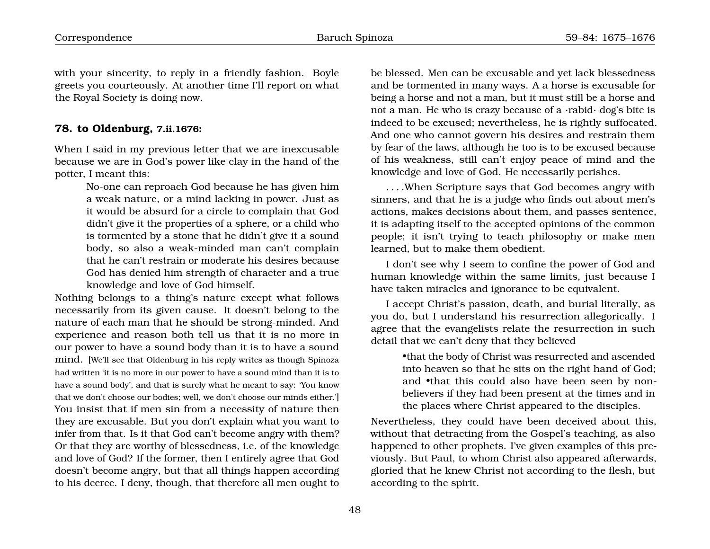with your sincerity, to reply in a friendly fashion. Boyle greets you courteously. At another time I'll report on what the Royal Society is doing now.

### <span id="page-29-0"></span>**78. to Oldenburg, 7.ii.1676:**

When I said in my previous letter that we are inexcusable because we are in God's power like clay in the hand of the potter, I meant this:

> No-one can reproach God because he has given him a weak nature, or a mind lacking in power. Just as it would be absurd for a circle to complain that God didn't give it the properties of a sphere, or a child who is tormented by a stone that he didn't give it a sound body, so also a weak-minded man can't complain that he can't restrain or moderate his desires because God has denied him strength of character and a true knowledge and love of God himself.

Nothing belongs to a thing's nature except what follows necessarily from its given cause. It doesn't belong to the nature of each man that he should be strong-minded. And experience and reason both tell us that it is no more in our power to have a sound body than it is to have a sound mind. [We'll see that Oldenburg in his reply writes as though Spinoza had written 'it is no more in our power to have a sound mind than it is to have a sound body', and that is surely what he meant to say: 'You know that we don't choose our bodies; well, we don't choose our minds either.'] You insist that if men sin from a necessity of nature then they are excusable. But you don't explain what you want to infer from that. Is it that God can't become angry with them? Or that they are worthy of blessedness, i.e. of the knowledge and love of God? If the former, then I entirely agree that God doesn't become angry, but that all things happen according to his decree. I deny, though, that therefore all men ought to

be blessed. Men can be excusable and yet lack blessedness and be tormented in many ways. A a horse is excusable for being a horse and not a man, but it must still be a horse and not a man. He who is crazy because of a ·rabid· dog's bite is indeed to be excused; nevertheless, he is rightly suffocated. And one who cannot govern his desires and restrain them by fear of the laws, although he too is to be excused because of his weakness, still can't enjoy peace of mind and the knowledge and love of God. He necessarily perishes.

. . . .When Scripture says that God becomes angry with sinners, and that he is a judge who finds out about men's actions, makes decisions about them, and passes sentence, it is adapting itself to the accepted opinions of the common people; it isn't trying to teach philosophy or make men learned, but to make them obedient.

I don't see why I seem to confine the power of God and human knowledge within the same limits, just because I have taken miracles and ignorance to be equivalent.

I accept Christ's passion, death, and burial literally, as you do, but I understand his resurrection allegorically. I agree that the evangelists relate the resurrection in such detail that we can't deny that they believed

> •that the body of Christ was resurrected and ascended into heaven so that he sits on the right hand of God; and •that this could also have been seen by nonbelievers if they had been present at the times and in the places where Christ appeared to the disciples.

Nevertheless, they could have been deceived about this, without that detracting from the Gospel's teaching, as also happened to other prophets. I've given examples of this previously. But Paul, to whom Christ also appeared afterwards, gloried that he knew Christ not according to the flesh, but according to the spirit.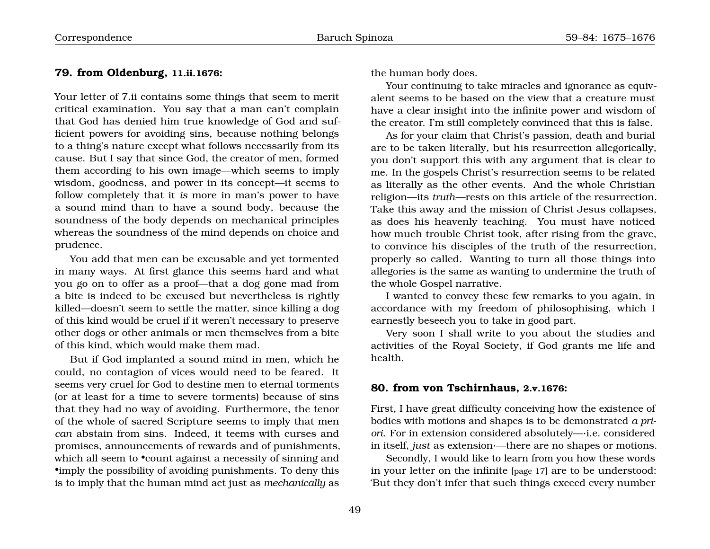# <span id="page-30-0"></span>**79. from Oldenburg, 11.ii.1676:**

Your letter of 7.ii contains some things that seem to merit critical examination. You say that a man can't complain that God has denied him true knowledge of God and sufficient powers for avoiding sins, because nothing belongs to a thing's nature except what follows necessarily from its cause. But I say that since God, the creator of men, formed them according to his own image—which seems to imply wisdom, goodness, and power in its concept—it seems to follow completely that it *is* more in man's power to have a sound mind than to have a sound body, because the soundness of the body depends on mechanical principles whereas the soundness of the mind depends on choice and prudence.

You add that men can be excusable and yet tormented in many ways. At first glance this seems hard and what you go on to offer as a proof—that a dog gone mad from a bite is indeed to be excused but nevertheless is rightly killed—doesn't seem to settle the matter, since killing a dog of this kind would be cruel if it weren't necessary to preserve other dogs or other animals or men themselves from a bite of this kind, which would make them mad.

But if God implanted a sound mind in men, which he could, no contagion of vices would need to be feared. It seems very cruel for God to destine men to eternal torments (or at least for a time to severe torments) because of sins that they had no way of avoiding. Furthermore, the tenor of the whole of sacred Scripture seems to imply that men *can* abstain from sins. Indeed, it teems with curses and promises, announcements of rewards and of punishments, which all seem to •count against a necessity of sinning and •imply the possibility of avoiding punishments. To deny this is to imply that the human mind act just as *mechanically* as

the human body does.

Your continuing to take miracles and ignorance as equivalent seems to be based on the view that a creature must have a clear insight into the infinite power and wisdom of the creator. I'm still completely convinced that this is false.

As for your claim that Christ's passion, death and burial are to be taken literally, but his resurrection allegorically, you don't support this with any argument that is clear to me. In the gospels Christ's resurrection seems to be related as literally as the other events. And the whole Christian religion—its *truth*—rests on this article of the resurrection. Take this away and the mission of Christ Jesus collapses, as does his heavenly teaching. You must have noticed how much trouble Christ took, after rising from the grave, to convince his disciples of the truth of the resurrection, properly so called. Wanting to turn all those things into allegories is the same as wanting to undermine the truth of the whole Gospel narrative.

I wanted to convey these few remarks to you again, in accordance with my freedom of philosophising, which I earnestly beseech you to take in good part.

Very soon I shall write to you about the studies and activities of the Royal Society, if God grants me life and health.

#### <span id="page-30-1"></span>**80. from von Tschirnhaus, 2.v.1676:**

First, I have great difficulty conceiving how the existence of bodies with motions and shapes is to be demonstrated *a priori*. For in extension considered absolutely—·i.e. considered in itself, *just* as extension·—there are no shapes or motions.

Secondly, I would like to learn from you how these words in your letter on the infinite [page [17](#page-20-0)] are to be understood: 'But they don't infer that such things exceed every number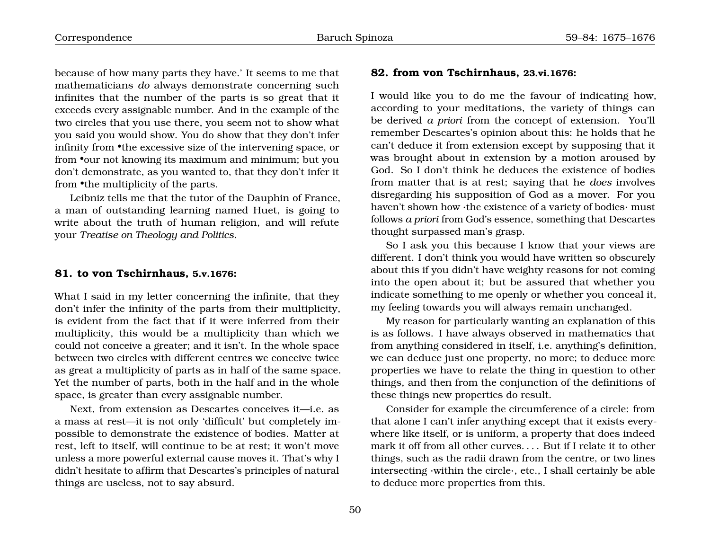because of how many parts they have.' It seems to me that mathematicians *do* always demonstrate concerning such infinites that the number of the parts is so great that it exceeds every assignable number. And in the example of the two circles that you use there, you seem not to show what you said you would show. You do show that they don't infer infinity from •the excessive size of the intervening space, or from •our not knowing its maximum and minimum; but you don't demonstrate, as you wanted to, that they don't infer it from •the multiplicity of the parts.

Leibniz tells me that the tutor of the Dauphin of France, a man of outstanding learning named Huet, is going to write about the truth of human religion, and will refute your *Treatise on Theology and Politics*.

#### <span id="page-31-0"></span>**81. to von Tschirnhaus, 5.v.1676:**

What I said in my letter concerning the infinite, that they don't infer the infinity of the parts from their multiplicity, is evident from the fact that if it were inferred from their multiplicity, this would be a multiplicity than which we could not conceive a greater; and it isn't. In the whole space between two circles with different centres we conceive twice as great a multiplicity of parts as in half of the same space. Yet the number of parts, both in the half and in the whole space, is greater than every assignable number.

Next, from extension as Descartes conceives it—i.e. as a mass at rest—it is not only 'difficult' but completely impossible to demonstrate the existence of bodies. Matter at rest, left to itself, will continue to be at rest; it won't move unless a more powerful external cause moves it. That's why I didn't hesitate to affirm that Descartes's principles of natural things are useless, not to say absurd.

#### <span id="page-31-1"></span>**82. from von Tschirnhaus, 23.vi.1676:**

I would like you to do me the favour of indicating how, according to your meditations, the variety of things can be derived *a priori* from the concept of extension. You'll remember Descartes's opinion about this: he holds that he can't deduce it from extension except by supposing that it was brought about in extension by a motion aroused by God. So I don't think he deduces the existence of bodies from matter that is at rest; saying that he *does* involves disregarding his supposition of God as a mover. For you haven't shown how ·the existence of a variety of bodies· must follows *a priori* from God's essence, something that Descartes thought surpassed man's grasp.

So I ask you this because I know that your views are different. I don't think you would have written so obscurely about this if you didn't have weighty reasons for not coming into the open about it; but be assured that whether you indicate something to me openly or whether you conceal it, my feeling towards you will always remain unchanged.

My reason for particularly wanting an explanation of this is as follows. I have always observed in mathematics that from anything considered in itself, i.e. anything's definition, we can deduce just one property, no more; to deduce more properties we have to relate the thing in question to other things, and then from the conjunction of the definitions of these things new properties do result.

Consider for example the circumference of a circle: from that alone I can't infer anything except that it exists everywhere like itself, or is uniform, a property that does indeed mark it off from all other curves. . . . But if I relate it to other things, such as the radii drawn from the centre, or two lines intersecting ·within the circle·, etc., I shall certainly be able to deduce more properties from this.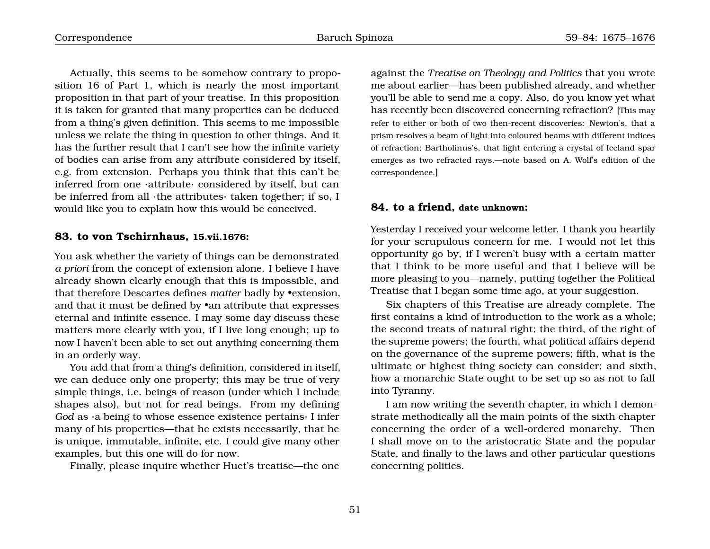Actually, this seems to be somehow contrary to proposition 16 of Part 1, which is nearly the most important proposition in that part of your treatise. In this proposition it is taken for granted that many properties can be deduced from a thing's given definition. This seems to me impossible unless we relate the thing in question to other things. And it has the further result that I can't see how the infinite variety of bodies can arise from any attribute considered by itself, e.g. from extension. Perhaps you think that this can't be inferred from one ·attribute· considered by itself, but can be inferred from all ·the attributes· taken together; if so, I would like you to explain how this would be conceived.

#### <span id="page-32-0"></span>**83. to von Tschirnhaus, 15.vii.1676:**

You ask whether the variety of things can be demonstrated *a priori* from the concept of extension alone. I believe I have already shown clearly enough that this is impossible, and that therefore Descartes defines *matter* badly by •extension, and that it must be defined by •an attribute that expresses eternal and infinite essence. I may some day discuss these matters more clearly with you, if I live long enough; up to now I haven't been able to set out anything concerning them in an orderly way.

You add that from a thing's definition, considered in itself, we can deduce only one property; this may be true of very simple things, i.e. beings of reason (under which I include shapes also), but not for real beings. From my defining *God* as ·a being to whose essence existence pertains· I infer many of his properties—that he exists necessarily, that he is unique, immutable, infinite, etc. I could give many other examples, but this one will do for now.

Finally, please inquire whether Huet's treatise—the one

against the *Treatise on Theology and Politics* that you wrote me about earlier—has been published already, and whether you'll be able to send me a copy. Also, do you know yet what has recently been discovered concerning refraction? [This may refer to either or both of two then-recent discoveries: Newton's, that a prism resolves a beam of light into coloured beams with different indices of refraction; Bartholinus's, that light entering a crystal of Iceland spar emerges as two refracted rays.—note based on A. Wolf's edition of the correspondence.]

#### <span id="page-32-1"></span>**84. to a friend, date unknown:**

Yesterday I received your welcome letter. I thank you heartily for your scrupulous concern for me. I would not let this opportunity go by, if I weren't busy with a certain matter that I think to be more useful and that I believe will be more pleasing to you—namely, putting together the Political Treatise that I began some time ago, at your suggestion.

Six chapters of this Treatise are already complete. The first contains a kind of introduction to the work as a whole; the second treats of natural right; the third, of the right of the supreme powers; the fourth, what political affairs depend on the governance of the supreme powers; fifth, what is the ultimate or highest thing society can consider; and sixth, how a monarchic State ought to be set up so as not to fall into Tyranny.

I am now writing the seventh chapter, in which I demonstrate methodically all the main points of the sixth chapter concerning the order of a well-ordered monarchy. Then I shall move on to the aristocratic State and the popular State, and finally to the laws and other particular questions concerning politics.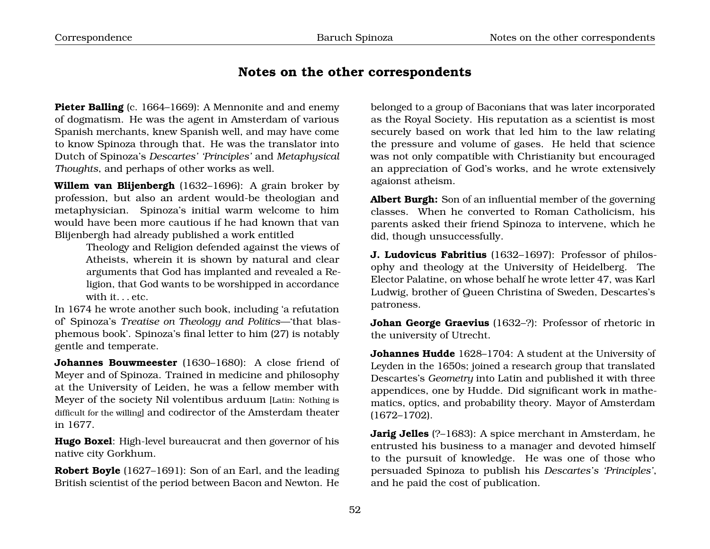# <span id="page-33-0"></span>**Notes on the other correspondents**

Pieter Balling (c. 1664–1669): A Mennonite and and enemy of dogmatism. He was the agent in Amsterdam of various Spanish merchants, knew Spanish well, and may have come to know Spinoza through that. He was the translator into Dutch of Spinoza's *Descartes' 'Principles'* and *Metaphysical Thoughts*, and perhaps of other works as well.

**Willem van Blijenbergh** (1632–1696): A grain broker by profession, but also an ardent would-be theologian and metaphysician. Spinoza's initial warm welcome to him would have been more cautious if he had known that van Blijenbergh had already published a work entitled

> Theology and Religion defended against the views of Atheists, wherein it is shown by natural and clear arguments that God has implanted and revealed a Religion, that God wants to be worshipped in accordance with it... etc.

In 1674 he wrote another such book, including 'a refutation of' Spinoza's *Treatise on Theology and Politics*—'that blasphemous book'. Spinoza's final letter to him (27) is notably gentle and temperate.

**Johannes Bouwmeester** (1630–1680): A close friend of Meyer and of Spinoza. Trained in medicine and philosophy at the University of Leiden, he was a fellow member with Meyer of the society Nil volentibus arduum [Latin: Nothing is difficult for the willing] and codirector of the Amsterdam theater in 1677.

**Hugo Boxel**: High-level bureaucrat and then governor of his native city Gorkhum.

**Robert Boyle** (1627–1691): Son of an Earl, and the leading British scientist of the period between Bacon and Newton. He belonged to a group of Baconians that was later incorporated as the Royal Society. His reputation as a scientist is most securely based on work that led him to the law relating the pressure and volume of gases. He held that science was not only compatible with Christianity but encouraged an appreciation of God's works, and he wrote extensively agaionst atheism.

**Albert Burgh:** Son of an influential member of the governing classes. When he converted to Roman Catholicism, his parents asked their friend Spinoza to intervene, which he did, though unsuccessfully.

**J. Ludovicus Fabritius** (1632–1697): Professor of philosophy and theology at the University of Heidelberg. The Elector Palatine, on whose behalf he wrote letter 47, was Karl Ludwig, brother of Queen Christina of Sweden, Descartes's patroness.

**Johan George Graevius** (1632–?): Professor of rhetoric in the university of Utrecht.

**Johannes Hudde** 1628–1704: A student at the University of Leyden in the 1650s; joined a research group that translated Descartes's *Geometry* into Latin and published it with three appendices, one by Hudde. Did significant work in mathematics, optics, and probability theory. Mayor of Amsterdam (1672–1702).

**Jarig Jelles** (?–1683): A spice merchant in Amsterdam, he entrusted his business to a manager and devoted himself to the pursuit of knowledge. He was one of those who persuaded Spinoza to publish his *Descartes's 'Principles'*, and he paid the cost of publication.